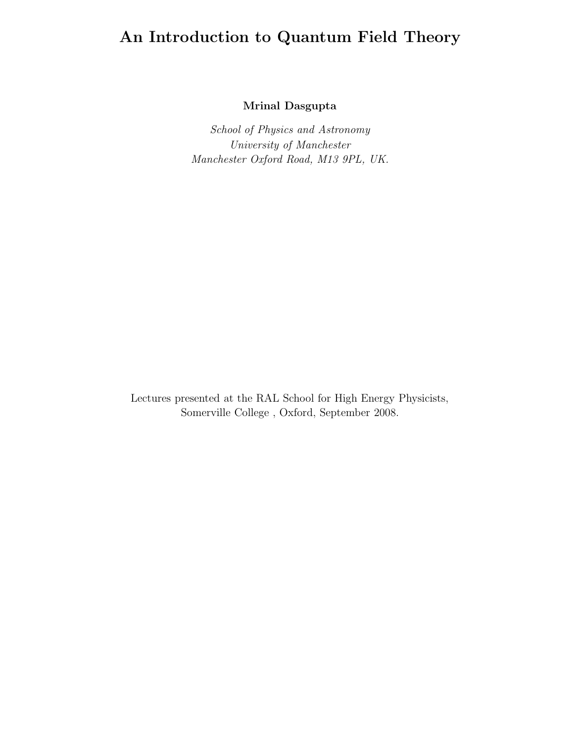# **An Introduction to Quantum Field Theory**

**Mrinal Dasgupta**

*School of Physics and Astronomy University of Manchester Manchester Oxford Road, M13 9PL, UK.*

Lectures presented at the RAL School for High Energy Physicists, Somerville College , Oxford, September 2008.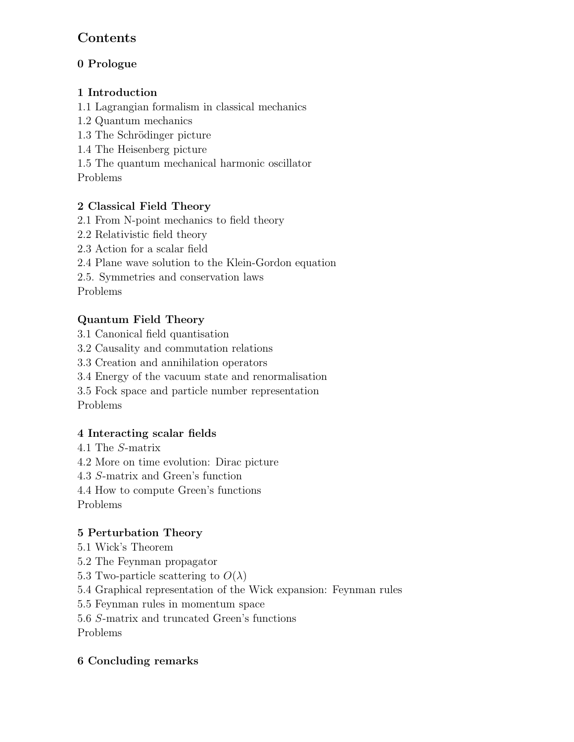## **Contents**

## **0 Prologue**

## **1 Introduction**

1.1 Lagrangian formalism in classical mechanics

- 1.2 Quantum mechanics
- 1.3 The Schrödinger picture
- 1.4 The Heisenberg picture

1.5 The quantum mechanical harmonic oscillator

Problems

## **2 Classical Field Theory**

- 2.1 From N-point mechanics to field theory
- 2.2 Relativistic field theory
- 2.3 Action for a scalar field
- 2.4 Plane wave solution to the Klein-Gordon equation
- 2.5. Symmetries and conservation laws

Problems

## **Quantum Field Theory**

- 3.1 Canonical field quantisation
- 3.2 Causality and commutation relations
- 3.3 Creation and annihilation operators
- 3.4 Energy of the vacuum state and renormalisation
- 3.5 Fock space and particle number representation Problems

# **4 Interacting scalar fields**

- 4.1 The S-matrix
- 4.2 More on time evolution: Dirac picture
- 4.3 S-matrix and Green's function
- 4.4 How to compute Green's functions
- Problems

## **5 Perturbation Theory**

- 5.1 Wick's Theorem
- 5.2 The Feynman propagator
- 5.3 Two-particle scattering to  $O(\lambda)$
- 5.4 Graphical representation of the Wick expansion: Feynman rules
- 5.5 Feynman rules in momentum space
- 5.6 S-matrix and truncated Green's functions

Problems

## **6 Concluding remarks**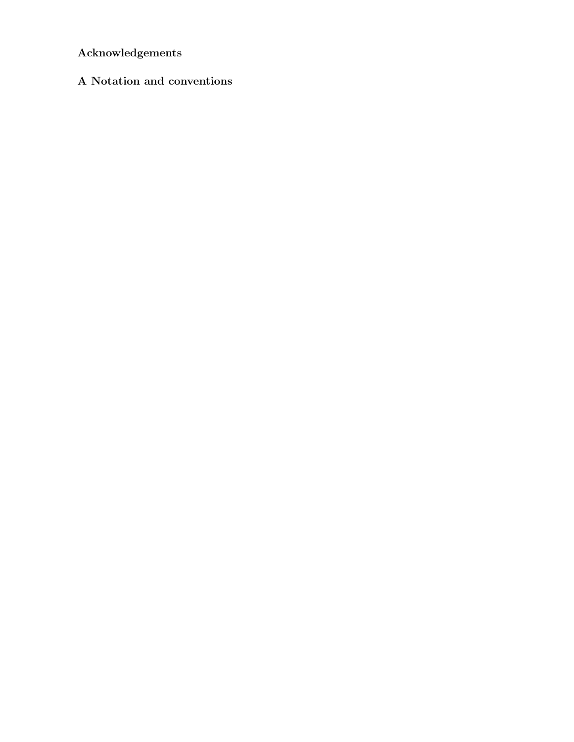# **Acknowledgements**

## **A Notation and conventions**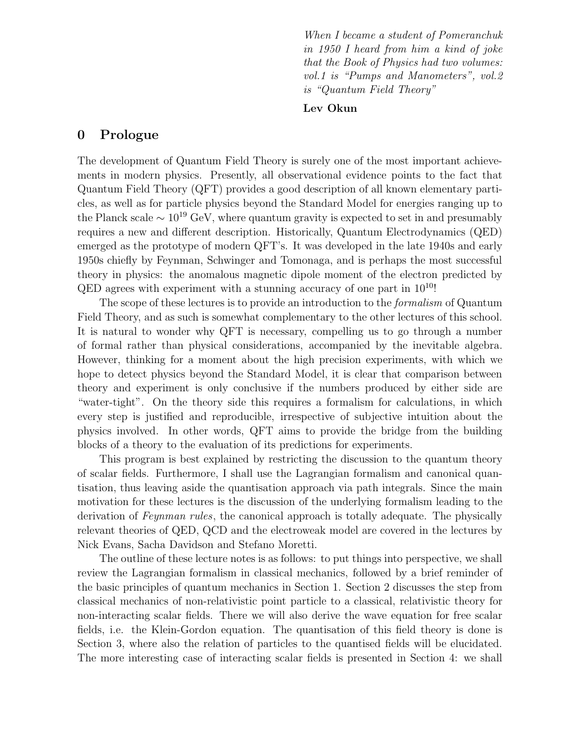*When I became a student of Pomeranchuk in 1950 I heard from him a kind of joke that the Book of Physics had two volumes: vol.1 is "Pumps and Manometers", vol.2 is "Quantum Field Theory"*

#### **Lev Okun**

## **0 Prologue**

The development of Quantum Field Theory is surely one of the most important achievements in modern physics. Presently, all observational evidence points to the fact that Quantum Field Theory (QFT) provides a good description of all known elementary particles, as well as for particle physics beyond the Standard Model for energies ranging up to the Planck scale  $\sim 10^{19}$  GeV, where quantum gravity is expected to set in and presumably requires a new and different description. Historically, Quantum Electrodynamics (QED) emerged as the prototype of modern QFT's. It was developed in the late 1940s and early 1950s chiefly by Feynman, Schwinger and Tomonaga, and is perhaps the most successful theory in physics: the anomalous magnetic dipole moment of the electron predicted by QED agrees with experiment with a stunning accuracy of one part in  $10^{10}$ !

The scope of these lectures is to provide an introduction to the *formalism* of Quantum Field Theory, and as such is somewhat complementary to the other lectures of this school. It is natural to wonder why QFT is necessary, compelling us to go through a number of formal rather than physical considerations, accompanied by the inevitable algebra. However, thinking for a moment about the high precision experiments, with which we hope to detect physics beyond the Standard Model, it is clear that comparison between theory and experiment is only conclusive if the numbers produced by either side are "water-tight". On the theory side this requires a formalism for calculations, in which every step is justified and reproducible, irrespective of subjective intuition about the physics involved. In other words, QFT aims to provide the bridge from the building blocks of a theory to the evaluation of its predictions for experiments.

This program is best explained by restricting the discussion to the quantum theory of scalar fields. Furthermore, I shall use the Lagrangian formalism and canonical quantisation, thus leaving aside the quantisation approach via path integrals. Since the main motivation for these lectures is the discussion of the underlying formalism leading to the derivation of *Feynman rules*, the canonical approach is totally adequate. The physically relevant theories of QED, QCD and the electroweak model are covered in the lectures by Nick Evans, Sacha Davidson and Stefano Moretti.

The outline of these lecture notes is as follows: to put things into perspective, we shall review the Lagrangian formalism in classical mechanics, followed by a brief reminder of the basic principles of quantum mechanics in Section 1. Section 2 discusses the step from classical mechanics of non-relativistic point particle to a classical, relativistic theory for non-interacting scalar fields. There we will also derive the wave equation for free scalar fields, i.e. the Klein-Gordon equation. The quantisation of this field theory is done is Section 3, where also the relation of particles to the quantised fields will be elucidated. The more interesting case of interacting scalar fields is presented in Section 4: we shall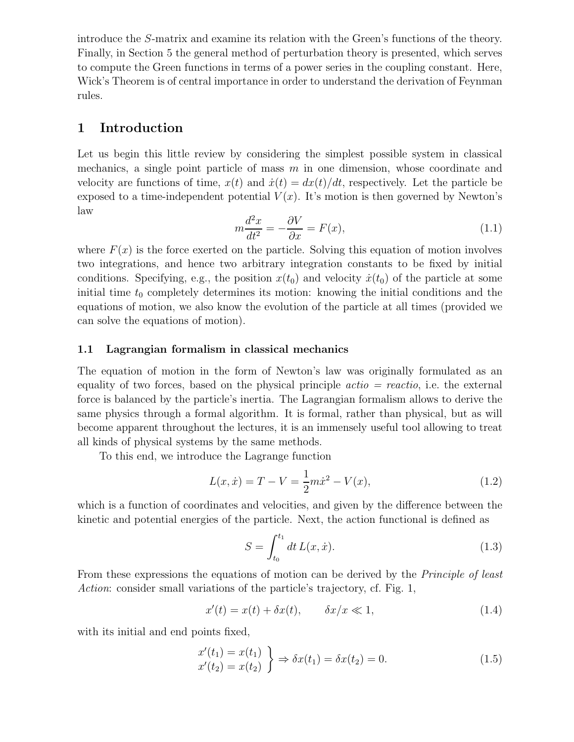introduce the S-matrix and examine its relation with the Green's functions of the theory. Finally, in Section 5 the general method of perturbation theory is presented, which serves to compute the Green functions in terms of a power series in the coupling constant. Here, Wick's Theorem is of central importance in order to understand the derivation of Feynman rules.

## **1 Introduction**

Let us begin this little review by considering the simplest possible system in classical mechanics, a single point particle of mass  $m$  in one dimension, whose coordinate and velocity are functions of time,  $x(t)$  and  $\dot{x}(t) = dx(t)/dt$ , respectively. Let the particle be exposed to a time-independent potential  $V(x)$ . It's motion is then governed by Newton's law

$$
m\frac{d^2x}{dt^2} = -\frac{\partial V}{\partial x} = F(x),\tag{1.1}
$$

where  $F(x)$  is the force exerted on the particle. Solving this equation of motion involves two integrations, and hence two arbitrary integration constants to be fixed by initial conditions. Specifying, e.g., the position  $x(t_0)$  and velocity  $\dot{x}(t_0)$  of the particle at some initial time  $t_0$  completely determines its motion: knowing the initial conditions and the equations of motion, we also know the evolution of the particle at all times (provided we can solve the equations of motion).

#### **1.1 Lagrangian formalism in classical mechanics**

The equation of motion in the form of Newton's law was originally formulated as an equality of two forces, based on the physical principle *actio = reactio*, i.e. the external force is balanced by the particle's inertia. The Lagrangian formalism allows to derive the same physics through a formal algorithm. It is formal, rather than physical, but as will become apparent throughout the lectures, it is an immensely useful tool allowing to treat all kinds of physical systems by the same methods.

To this end, we introduce the Lagrange function

$$
L(x, \dot{x}) = T - V = \frac{1}{2}m\dot{x}^{2} - V(x),
$$
\n(1.2)

which is a function of coordinates and velocities, and given by the difference between the kinetic and potential energies of the particle. Next, the action functional is defined as

$$
S = \int_{t_0}^{t_1} dt L(x, \dot{x}).
$$
\n(1.3)

From these expressions the equations of motion can be derived by the *Principle of least Action*: consider small variations of the particle's trajectory, cf. Fig. 1,

$$
x'(t) = x(t) + \delta x(t), \qquad \delta x/x \ll 1,
$$
\n(1.4)

with its initial and end points fixed,

$$
\begin{aligned}\nx'(t_1) &= x(t_1) \\
x'(t_2) &= x(t_2)\n\end{aligned}\n\Rightarrow \delta x(t_1) = \delta x(t_2) = 0.
$$
\n(1.5)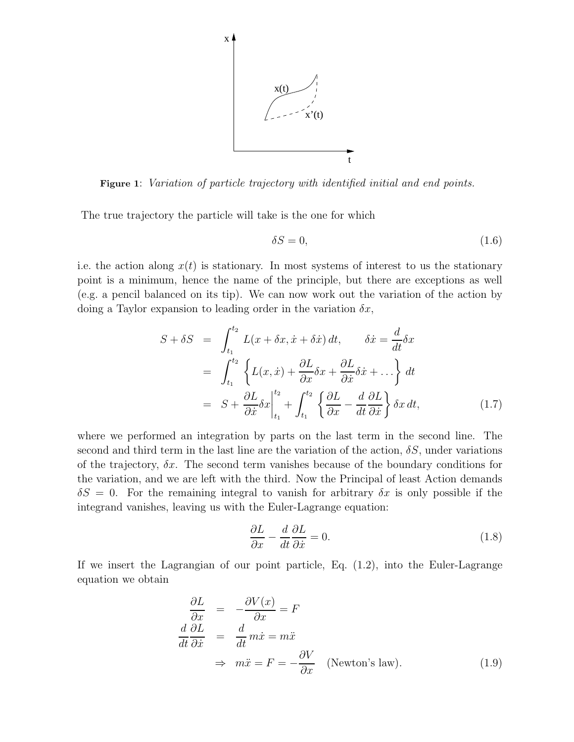

**Figure 1**: *Variation of particle trajectory with identified initial and end points.*

The true trajectory the particle will take is the one for which

$$
\delta S = 0,\tag{1.6}
$$

i.e. the action along  $x(t)$  is stationary. In most systems of interest to us the stationary point is a minimum, hence the name of the principle, but there are exceptions as well (e.g. a pencil balanced on its tip). We can now work out the variation of the action by doing a Taylor expansion to leading order in the variation  $\delta x$ ,

$$
S + \delta S = \int_{t_1}^{t_2} L(x + \delta x, \dot{x} + \delta \dot{x}) dt, \qquad \delta \dot{x} = \frac{d}{dt} \delta x
$$
  
= 
$$
\int_{t_1}^{t_2} \left\{ L(x, \dot{x}) + \frac{\partial L}{\partial x} \delta x + \frac{\partial L}{\partial \dot{x}} \delta \dot{x} + \dots \right\} dt
$$
  
= 
$$
S + \frac{\partial L}{\partial \dot{x}} \delta x \Big|_{t_1}^{t_2} + \int_{t_1}^{t_2} \left\{ \frac{\partial L}{\partial x} - \frac{d}{dt} \frac{\partial L}{\partial \dot{x}} \right\} \delta x dt,
$$
 (1.7)

where we performed an integration by parts on the last term in the second line. The second and third term in the last line are the variation of the action,  $\delta S$ , under variations of the trajectory,  $\delta x$ . The second term vanishes because of the boundary conditions for the variation, and we are left with the third. Now the Principal of least Action demands  $\delta S = 0$ . For the remaining integral to vanish for arbitrary  $\delta x$  is only possible if the integrand vanishes, leaving us with the Euler-Lagrange equation:

$$
\frac{\partial L}{\partial x} - \frac{d}{dt} \frac{\partial L}{\partial \dot{x}} = 0.
$$
\n(1.8)

If we insert the Lagrangian of our point particle, Eq. (1.2), into the Euler-Lagrange equation we obtain

$$
\frac{\partial L}{\partial x} = -\frac{\partial V(x)}{\partial x} = F
$$
\n
$$
\frac{d}{dt} \frac{\partial L}{\partial \dot{x}} = \frac{d}{dt} m \dot{x} = m \ddot{x}
$$
\n
$$
\Rightarrow m \ddot{x} = F = -\frac{\partial V}{\partial x} \quad \text{(Newton's law)}.
$$
\n(1.9)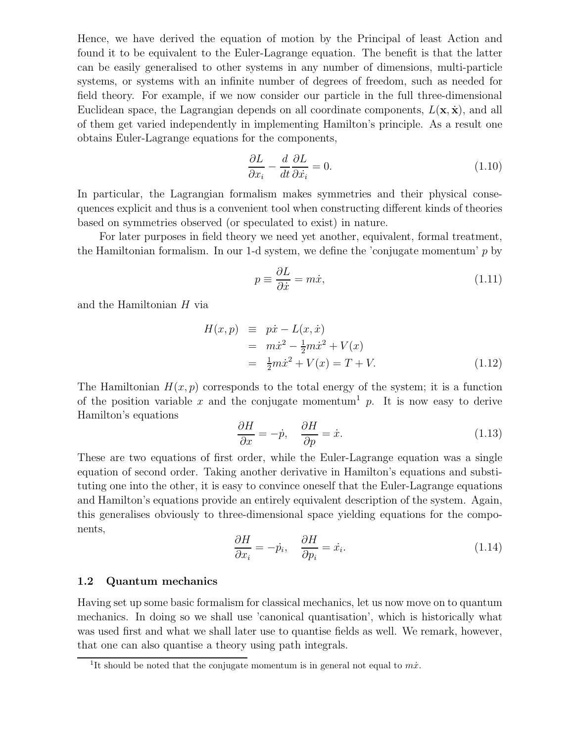Hence, we have derived the equation of motion by the Principal of least Action and found it to be equivalent to the Euler-Lagrange equation. The benefit is that the latter can be easily generalised to other systems in any number of dimensions, multi-particle systems, or systems with an infinite number of degrees of freedom, such as needed for field theory. For example, if we now consider our particle in the full three-dimensional Euclidean space, the Lagrangian depends on all coordinate components,  $L(\mathbf{x}, \dot{\mathbf{x}})$ , and all of them get varied independently in implementing Hamilton's principle. As a result one obtains Euler-Lagrange equations for the components,

$$
\frac{\partial L}{\partial x_i} - \frac{d}{dt} \frac{\partial L}{\partial \dot{x}_i} = 0.
$$
\n(1.10)

In particular, the Lagrangian formalism makes symmetries and their physical consequences explicit and thus is a convenient tool when constructing different kinds of theories based on symmetries observed (or speculated to exist) in nature.

For later purposes in field theory we need yet another, equivalent, formal treatment, the Hamiltonian formalism. In our 1-d system, we define the 'conjugate momentum'  $p$  by

$$
p \equiv \frac{\partial L}{\partial \dot{x}} = m\dot{x},\tag{1.11}
$$

and the Hamiltonian H via

$$
H(x, p) \equiv p\dot{x} - L(x, \dot{x})
$$
  
=  $m\dot{x}^2 - \frac{1}{2}m\dot{x}^2 + V(x)$   
=  $\frac{1}{2}m\dot{x}^2 + V(x) = T + V.$  (1.12)

The Hamiltonian  $H(x, p)$  corresponds to the total energy of the system; it is a function of the position variable x and the conjugate momentum<sup>1</sup> p. It is now easy to derive Hamilton's equations

$$
\frac{\partial H}{\partial x} = -\dot{p}, \quad \frac{\partial H}{\partial p} = \dot{x}.
$$
\n(1.13)

These are two equations of first order, while the Euler-Lagrange equation was a single equation of second order. Taking another derivative in Hamilton's equations and substituting one into the other, it is easy to convince oneself that the Euler-Lagrange equations and Hamilton's equations provide an entirely equivalent description of the system. Again, this generalises obviously to three-dimensional space yielding equations for the components,

$$
\frac{\partial H}{\partial x_i} = -\dot{p}_i, \quad \frac{\partial H}{\partial p_i} = \dot{x}_i.
$$
\n(1.14)

#### **1.2 Quantum mechanics**

Having set up some basic formalism for classical mechanics, let us now move on to quantum mechanics. In doing so we shall use 'canonical quantisation', which is historically what was used first and what we shall later use to quantise fields as well. We remark, however, that one can also quantise a theory using path integrals.

<sup>&</sup>lt;sup>1</sup>It should be noted that the conjugate momentum is in general not equal to  $m\dot{x}$ .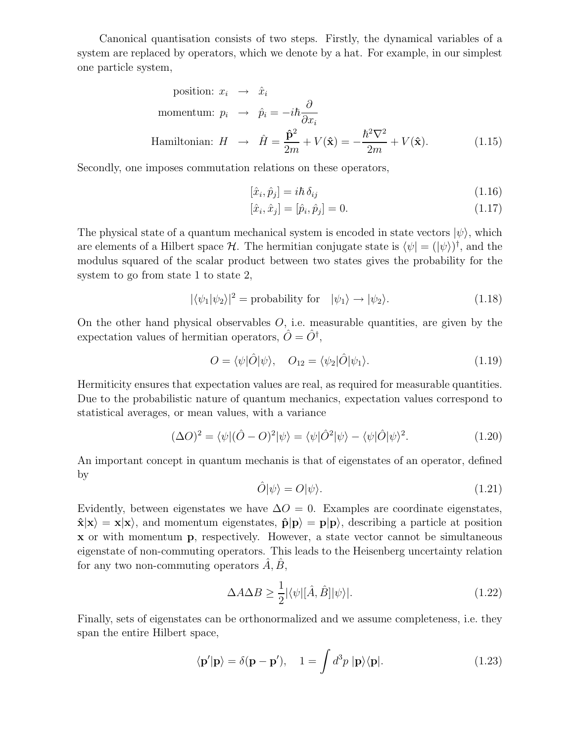Canonical quantisation consists of two steps. Firstly, the dynamical variables of a system are replaced by operators, which we denote by a hat. For example, in our simplest one particle system,

position: 
$$
x_i \rightarrow \hat{x}_i
$$
  
\nmomentum:  $p_i \rightarrow \hat{p}_i = -i\hbar \frac{\partial}{\partial x_i}$   
\nHamiltonian:  $H \rightarrow \hat{H} = \frac{\hat{\mathbf{p}}^2}{2m} + V(\hat{\mathbf{x}}) = -\frac{\hbar^2 \nabla^2}{2m} + V(\hat{\mathbf{x}}).$  (1.15)

Secondly, one imposes commutation relations on these operators,

$$
[\hat{x}_i, \hat{p}_j] = i\hbar \,\delta_{ij} \tag{1.16}
$$

$$
[\hat{x}_i, \hat{x}_j] = [\hat{p}_i, \hat{p}_j] = 0.
$$
\n(1.17)

The physical state of a quantum mechanical system is encoded in state vectors  $|\psi\rangle$ , which are elements of a Hilbert space H. The hermitian conjugate state is  $\langle \psi | = (|\psi \rangle)^{\dagger}$ , and the modulus squared of the scalar product between two states gives the probability for the system to go from state 1 to state 2,

$$
|\langle \psi_1 | \psi_2 \rangle|^2 = \text{probability for} \quad |\psi_1\rangle \to |\psi_2\rangle. \tag{1.18}
$$

On the other hand physical observables  $O$ , i.e. measurable quantities, are given by the expectation values of hermitian operators,  $\hat{O} = \hat{O}^{\dagger}$ ,

$$
O = \langle \psi | \hat{O} | \psi \rangle, \quad O_{12} = \langle \psi_2 | \hat{O} | \psi_1 \rangle. \tag{1.19}
$$

Hermiticity ensures that expectation values are real, as required for measurable quantities. Due to the probabilistic nature of quantum mechanics, expectation values correspond to statistical averages, or mean values, with a variance

$$
(\Delta O)^2 = \langle \psi | (\hat{O} - O)^2 | \psi \rangle = \langle \psi | \hat{O}^2 | \psi \rangle - \langle \psi | \hat{O} | \psi \rangle^2.
$$
 (1.20)

An important concept in quantum mechanis is that of eigenstates of an operator, defined by

$$
\hat{O}|\psi\rangle = O|\psi\rangle. \tag{1.21}
$$

Evidently, between eigenstates we have  $\Delta O = 0$ . Examples are coordinate eigenstates,  $\hat{\mathbf{x}}|\mathbf{x}\rangle = \mathbf{x}|\mathbf{x}\rangle$ , and momentum eigenstates,  $\hat{\mathbf{p}}|\mathbf{p}\rangle = \mathbf{p}|\mathbf{p}\rangle$ , describing a particle at position **x** or with momentum **p**, respectively. However, a state vector cannot be simultaneous eigenstate of non-commuting operators. This leads to the Heisenberg uncertainty relation for any two non-commuting operators  $\hat{A}, \hat{B},$ 

$$
\Delta A \Delta B \ge \frac{1}{2} |\langle \psi | [\hat{A}, \hat{B}] | \psi \rangle|. \tag{1.22}
$$

Finally, sets of eigenstates can be orthonormalized and we assume completeness, i.e. they span the entire Hilbert space,

$$
\langle \mathbf{p}'|\mathbf{p}\rangle = \delta(\mathbf{p} - \mathbf{p}'), \quad 1 = \int d^3p \, |\mathbf{p}\rangle\langle \mathbf{p}|. \tag{1.23}
$$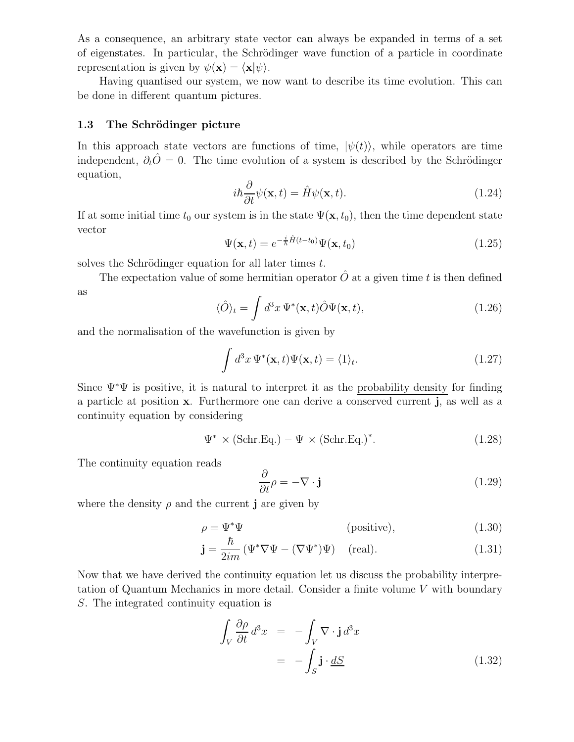As a consequence, an arbitrary state vector can always be expanded in terms of a set of eigenstates. In particular, the Schrödinger wave function of a particle in coordinate representation is given by  $\psi(\mathbf{x}) = \langle \mathbf{x} | \psi \rangle$ .

Having quantised our system, we now want to describe its time evolution. This can be done in different quantum pictures.

#### **1.3** The Schrödinger picture

In this approach state vectors are functions of time,  $|\psi(t)\rangle$ , while operators are time independent,  $\partial_t \hat{O} = 0$ . The time evolution of a system is described by the Schrödinger equation,

$$
i\hbar \frac{\partial}{\partial t}\psi(\mathbf{x},t) = \hat{H}\psi(\mathbf{x},t). \tag{1.24}
$$

If at some initial time  $t_0$  our system is in the state  $\Psi(\mathbf{x}, t_0)$ , then the time dependent state vector

$$
\Psi(\mathbf{x},t) = e^{-\frac{i}{\hbar}\hat{H}(t-t_0)}\Psi(\mathbf{x},t_0)
$$
\n(1.25)

solves the Schrödinger equation for all later times  $t$ .

The expectation value of some hermitian operator  $\ddot{O}$  at a given time t is then defined as

$$
\langle \hat{O} \rangle_t = \int d^3x \, \Psi^*(\mathbf{x}, t) \hat{O} \Psi(\mathbf{x}, t), \tag{1.26}
$$

and the normalisation of the wavefunction is given by

$$
\int d^3x \, \Psi^*(\mathbf{x}, t) \Psi(\mathbf{x}, t) = \langle 1 \rangle_t. \tag{1.27}
$$

Since  $\Psi^*\Psi$  is positive, it is natural to interpret it as the probability density for finding a particle at position **x**. Furthermore one can derive a conserved current **j**, as well as a continuity equation by considering

$$
\Psi^* \times (\text{Schr.Eq.}) - \Psi \times (\text{Schr.Eq.})^*.
$$
\n(1.28)

The continuity equation reads

$$
\frac{\partial}{\partial t}\rho = -\nabla \cdot \mathbf{j} \tag{1.29}
$$

where the density  $\rho$  and the current **j** are given by

$$
\rho = \Psi^* \Psi \qquad \qquad \text{(positive)}, \tag{1.30}
$$

$$
\mathbf{j} = \frac{\hbar}{2im} \left( \Psi^* \nabla \Psi - (\nabla \Psi^*) \Psi \right) \quad \text{(real)}.
$$
 (1.31)

Now that we have derived the continuity equation let us discuss the probability interpretation of Quantum Mechanics in more detail. Consider a finite volume V with boundary S. The integrated continuity equation is

$$
\int_{V} \frac{\partial \rho}{\partial t} d^{3}x = -\int_{V} \nabla \cdot \mathbf{j} d^{3}x
$$
\n
$$
= -\int_{S} \mathbf{j} \cdot \underline{dS} \qquad (1.32)
$$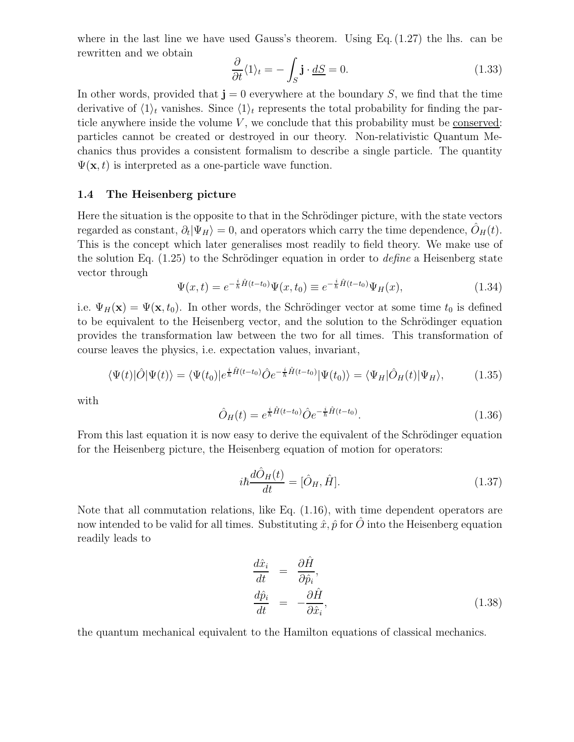where in the last line we have used Gauss's theorem. Using Eq.  $(1.27)$  the lhs. can be rewritten and we obtain

$$
\frac{\partial}{\partial t}\langle 1 \rangle_t = -\int_S \mathbf{j} \cdot \underline{dS} = 0. \tag{1.33}
$$

In other words, provided that  $\mathbf{j} = 0$  everywhere at the boundary S, we find that the time derivative of  $\langle 1 \rangle_t$  vanishes. Since  $\langle 1 \rangle_t$  represents the total probability for finding the particle anywhere inside the volume  $V$ , we conclude that this probability must be conserved: particles cannot be created or destroyed in our theory. Non-relativistic Quantum Mechanics thus provides a consistent formalism to describe a single particle. The quantity  $\Psi(\mathbf{x},t)$  is interpreted as a one-particle wave function.

#### **1.4 The Heisenberg picture**

Here the situation is the opposite to that in the Schrödinger picture, with the state vectors regarded as constant,  $\partial_t |\Psi_H\rangle = 0$ , and operators which carry the time dependence,  $O_H(t)$ . This is the concept which later generalises most readily to field theory. We make use of the solution Eq. (1.25) to the Schrödinger equation in order to *define* a Heisenberg state vector through

$$
\Psi(x,t) = e^{-\frac{i}{\hbar}\hat{H}(t-t_0)}\Psi(x,t_0) \equiv e^{-\frac{i}{\hbar}\hat{H}(t-t_0)}\Psi_H(x),\tag{1.34}
$$

i.e.  $\Psi_H(\mathbf{x}) = \Psi(\mathbf{x}, t_0)$ . In other words, the Schrödinger vector at some time  $t_0$  is defined to be equivalent to the Heisenberg vector, and the solution to the Schrödinger equation provides the transformation law between the two for all times. This transformation of course leaves the physics, i.e. expectation values, invariant,

$$
\langle \Psi(t)|\hat{O}|\Psi(t)\rangle = \langle \Psi(t_0)|e^{\frac{i}{\hbar}\hat{H}(t-t_0)}\hat{O}e^{-\frac{i}{\hbar}\hat{H}(t-t_0)}|\Psi(t_0)\rangle = \langle \Psi_H|\hat{O}_H(t)|\Psi_H\rangle, \tag{1.35}
$$

with

$$
\hat{O}_H(t) = e^{\frac{i}{\hbar}\hat{H}(t-t_0)} \hat{O} e^{-\frac{i}{\hbar}\hat{H}(t-t_0)}.
$$
\n(1.36)

From this last equation it is now easy to derive the equivalent of the Schrödinger equation for the Heisenberg picture, the Heisenberg equation of motion for operators:

$$
i\hbar \frac{d\hat{O}_H(t)}{dt} = [\hat{O}_H, \hat{H}].
$$
\n(1.37)

Note that all commutation relations, like Eq. (1.16), with time dependent operators are now intended to be valid for all times. Substituting  $\hat{x}, \hat{p}$  for  $\hat{O}$  into the Heisenberg equation readily leads to

$$
\begin{aligned}\n\frac{d\hat{x}_i}{dt} &= \frac{\partial \hat{H}}{\partial \hat{p}_i},\\
\frac{d\hat{p}_i}{dt} &= -\frac{\partial \hat{H}}{\partial \hat{x}_i},\n\end{aligned} \tag{1.38}
$$

the quantum mechanical equivalent to the Hamilton equations of classical mechanics.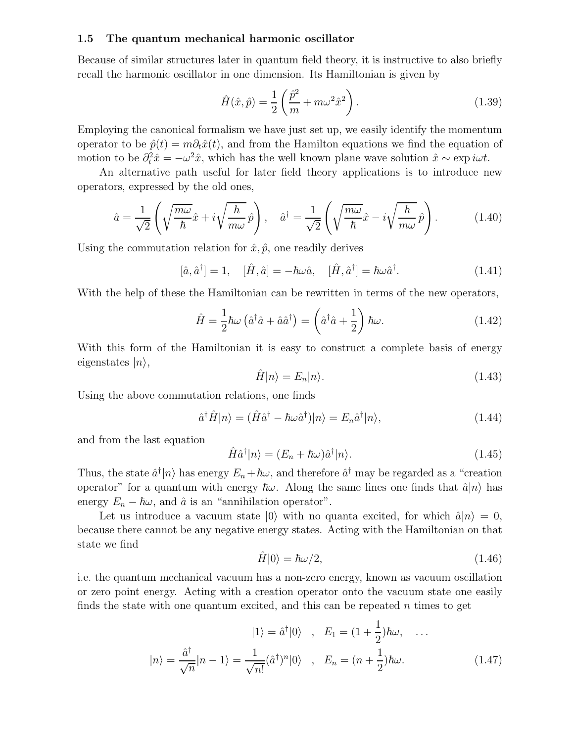#### **1.5 The quantum mechanical harmonic oscillator**

Because of similar structures later in quantum field theory, it is instructive to also briefly recall the harmonic oscillator in one dimension. Its Hamiltonian is given by

$$
\hat{H}(\hat{x}, \hat{p}) = \frac{1}{2} \left( \frac{\hat{p}^2}{m} + m\omega^2 \hat{x}^2 \right). \tag{1.39}
$$

Employing the canonical formalism we have just set up, we easily identify the momentum operator to be  $\hat{p}(t) = m\partial_t \hat{x}(t)$ , and from the Hamilton equations we find the equation of motion to be  $\partial_t^2 \hat{x} = -\omega^2 \hat{x}$ , which has the well known plane wave solution  $\hat{x} \sim \exp(i\omega t)$ .

An alternative path useful for later field theory applications is to introduce new operators, expressed by the old ones,

$$
\hat{a} = \frac{1}{\sqrt{2}} \left( \sqrt{\frac{m\omega}{\hbar}} \hat{x} + i\sqrt{\frac{\hbar}{m\omega}} \hat{p} \right), \quad \hat{a}^{\dagger} = \frac{1}{\sqrt{2}} \left( \sqrt{\frac{m\omega}{\hbar}} \hat{x} - i\sqrt{\frac{\hbar}{m\omega}} \hat{p} \right). \tag{1.40}
$$

Using the commutation relation for  $\hat{x}, \hat{p}$ , one readily derives

$$
[\hat{a}, \hat{a}^{\dagger}] = 1, \quad [\hat{H}, \hat{a}] = -\hbar\omega\hat{a}, \quad [\hat{H}, \hat{a}^{\dagger}] = \hbar\omega\hat{a}^{\dagger}.
$$
 (1.41)

With the help of these the Hamiltonian can be rewritten in terms of the new operators,

$$
\hat{H} = \frac{1}{2}\hbar\omega\left(\hat{a}^\dagger\hat{a} + \hat{a}\hat{a}^\dagger\right) = \left(\hat{a}^\dagger\hat{a} + \frac{1}{2}\right)\hbar\omega.
$$
\n(1.42)

With this form of the Hamiltonian it is easy to construct a complete basis of energy eigenstates  $|n\rangle$ ,

$$
\hat{H}|n\rangle = E_n|n\rangle. \tag{1.43}
$$

Using the above commutation relations, one finds

$$
\hat{a}^{\dagger}\hat{H}|n\rangle = (\hat{H}\hat{a}^{\dagger} - \hbar\omega\hat{a}^{\dagger})|n\rangle = E_n\hat{a}^{\dagger}|n\rangle, \qquad (1.44)
$$

and from the last equation

$$
\hat{H}\hat{a}^{\dagger}|n\rangle = (E_n + \hbar\omega)\hat{a}^{\dagger}|n\rangle.
$$
\n(1.45)

Thus, the state  $\hat{a}^{\dagger} |n\rangle$  has energy  $E_n + \hbar \omega$ , and therefore  $\hat{a}^{\dagger}$  may be regarded as a "creation" operator" for a quantum with energy  $\hbar\omega$ . Along the same lines one finds that  $\hat{a}|n\rangle$  has energy  $E_n - \hbar \omega$ , and  $\hat{a}$  is an "annihilation operator".

Let us introduce a vacuum state  $|0\rangle$  with no quanta excited, for which  $\hat{a}|n\rangle = 0$ , because there cannot be any negative energy states. Acting with the Hamiltonian on that state we find

$$
\hat{H}|0\rangle = \hbar\omega/2,\tag{1.46}
$$

i.e. the quantum mechanical vacuum has a non-zero energy, known as vacuum oscillation or zero point energy. Acting with a creation operator onto the vacuum state one easily finds the state with one quantum excited, and this can be repeated n times to get

$$
|1\rangle = \hat{a}^{\dagger} |0\rangle \quad , \quad E_1 = (1 + \frac{1}{2})\hbar\omega, \quad \dots
$$

$$
|n\rangle = \frac{\hat{a}^{\dagger}}{\sqrt{n}} |n-1\rangle = \frac{1}{\sqrt{n!}} (\hat{a}^{\dagger})^n |0\rangle \quad , \quad E_n = (n + \frac{1}{2})\hbar\omega. \tag{1.47}
$$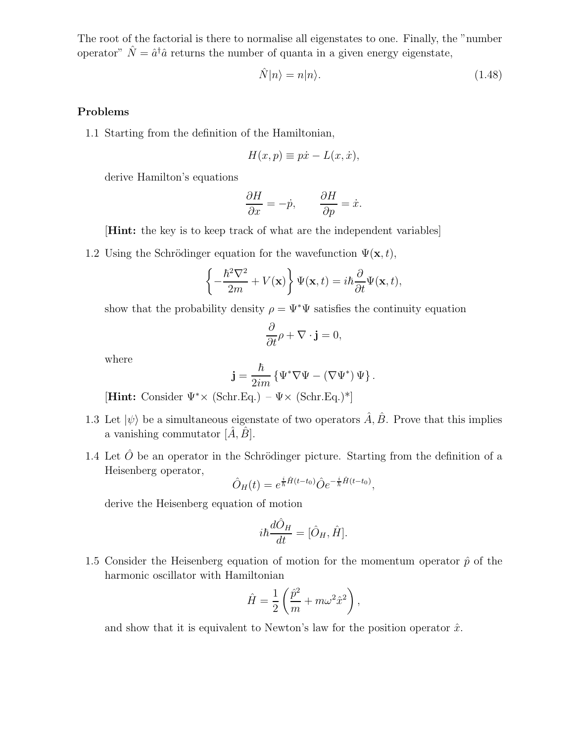The root of the factorial is there to normalise all eigenstates to one. Finally, the "number operator"  $\hat{N} = \hat{a}^{\dagger} \hat{a}$  returns the number of quanta in a given energy eigenstate,

$$
\hat{N}|n\rangle = n|n\rangle. \tag{1.48}
$$

## **Problems**

1.1 Starting from the definition of the Hamiltonian,

$$
H(x, p) \equiv p\dot{x} - L(x, \dot{x}),
$$

derive Hamilton's equations

$$
\frac{\partial H}{\partial x} = -\dot{p}, \qquad \frac{\partial H}{\partial p} = \dot{x}.
$$

[**Hint:** the key is to keep track of what are the independent variables]

1.2 Using the Schrödinger equation for the wavefunction  $\Psi(\mathbf{x}, t)$ ,

$$
\left\{-\frac{\hbar^2 \nabla^2}{2m} + V(\mathbf{x})\right\} \Psi(\mathbf{x}, t) = i\hbar \frac{\partial}{\partial t} \Psi(\mathbf{x}, t),
$$

show that the probability density  $\rho = \Psi^* \Psi$  satisfies the continuity equation

$$
\frac{\partial}{\partial t}\rho + \nabla \cdot \mathbf{j} = 0,
$$

where

$$
\mathbf{j} = \frac{\hbar}{2im} \left\{ \Psi^* \nabla \Psi - \left( \nabla \Psi^* \right) \Psi \right\}.
$$

[**Hint:** Consider Ψ∗× (Schr.Eq.) – Ψ× (Schr.Eq.)\*]

- 1.3 Let  $|\psi\rangle$  be a simultaneous eigenstate of two operators  $\hat{A}, \hat{B}$ . Prove that this implies a vanishing commutator  $[\hat{A}, \hat{B}]$ .
- 1.4 Let  $\hat{O}$  be an operator in the Schrödinger picture. Starting from the definition of a Heisenberg operator,

$$
\hat{O}_H(t) = e^{\frac{i}{\hbar}\hat{H}(t-t_0)} \hat{O} e^{-\frac{i}{\hbar}\hat{H}(t-t_0)},
$$

derive the Heisenberg equation of motion

$$
i\hbar \frac{d\hat{O}_H}{dt} = [\hat{O}_H, \hat{H}].
$$

1.5 Consider the Heisenberg equation of motion for the momentum operator  $\hat{p}$  of the harmonic oscillator with Hamiltonian

$$
\hat{H} = \frac{1}{2} \left( \frac{\hat{p}^2}{m} + m \omega^2 \hat{x}^2 \right),
$$

and show that it is equivalent to Newton's law for the position operator  $\hat{x}$ .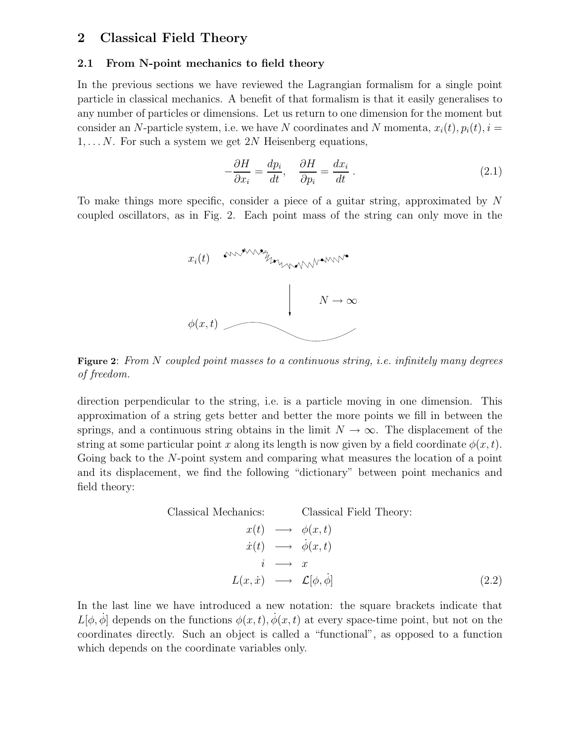## **2 Classical Field Theory**

#### **2.1 From N-point mechanics to field theory**

In the previous sections we have reviewed the Lagrangian formalism for a single point particle in classical mechanics. A benefit of that formalism is that it easily generalises to any number of particles or dimensions. Let us return to one dimension for the moment but consider an N-particle system, i.e. we have N coordinates and N momenta,  $x_i(t)$ ,  $p_i(t)$ ,  $i =$  $1, \ldots N$ . For such a system we get 2N Heisenberg equations,

$$
-\frac{\partial H}{\partial x_i} = \frac{dp_i}{dt}, \quad \frac{\partial H}{\partial p_i} = \frac{dx_i}{dt} \tag{2.1}
$$

To make things more specific, consider a piece of a guitar string, approximated by N coupled oscillators, as in Fig. 2. Each point mass of the string can only move in the



**Figure 2**: *From* <sup>N</sup> *coupled point masses to a continuous string, i.e. infinitely many degrees of freedom.*

direction perpendicular to the string, i.e. is a particle moving in one dimension. This approximation of a string gets better and better the more points we fill in between the springs, and a continuous string obtains in the limit  $N \to \infty$ . The displacement of the string at some particular point x along its length is now given by a field coordinate  $\phi(x, t)$ . Going back to the N-point system and comparing what measures the location of a point and its displacement, we find the following "dictionary" between point mechanics and field theory:

> Classical Mechanics: Classical Field Theory:  $x(t) \rightarrow \phi(x,t)$  $\dot{x}(t) \rightarrow \dot{\phi}(x,t)$  $i \longrightarrow x$  $L(x, \dot{x}) \rightarrow \mathcal{L}[\phi, \dot{\phi}]$  (2.2)

In the last line we have introduced a new notation: the square brackets indicate that  $L[\phi, \dot{\phi}]$  depends on the functions  $\phi(x, t), \dot{\phi}(x, t)$  at every space-time point, but not on the coordinates directly. Such an object is called a "functional", as opposed to a function which depends on the coordinate variables only.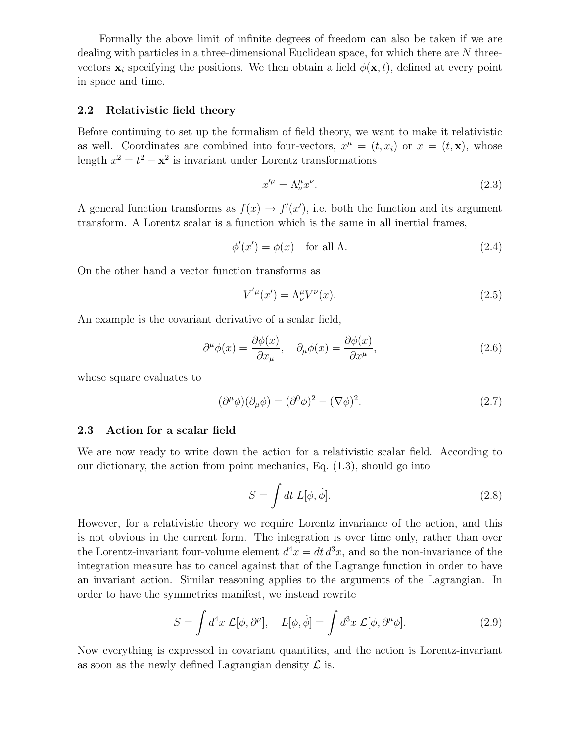Formally the above limit of infinite degrees of freedom can also be taken if we are dealing with particles in a three-dimensional Euclidean space, for which there are N threevectors  $\mathbf{x}_i$  specifying the positions. We then obtain a field  $\phi(\mathbf{x}, t)$ , defined at every point in space and time.

### **2.2 Relativistic field theory**

Before continuing to set up the formalism of field theory, we want to make it relativistic as well. Coordinates are combined into four-vectors,  $x^{\mu} = (t, x_i)$  or  $x = (t, \mathbf{x})$ , whose length  $x^2 = t^2 - \mathbf{x}^2$  is invariant under Lorentz transformations

$$
x^{\prime \mu} = \Lambda^{\mu}_{\nu} x^{\nu}.
$$
\n<sup>(2.3)</sup>

A general function transforms as  $f(x) \to f'(x')$ , i.e. both the function and its argument transform. A Lorentz scalar is a function which is the same in all inertial frames,

$$
\phi'(x') = \phi(x) \quad \text{for all } \Lambda. \tag{2.4}
$$

On the other hand a vector function transforms as

$$
V^{'\mu}(x') = \Lambda^{\mu}_{\nu} V^{\nu}(x). \tag{2.5}
$$

An example is the covariant derivative of a scalar field,

$$
\partial^{\mu}\phi(x) = \frac{\partial\phi(x)}{\partial x_{\mu}}, \quad \partial_{\mu}\phi(x) = \frac{\partial\phi(x)}{\partial x^{\mu}}, \tag{2.6}
$$

whose square evaluates to

$$
(\partial^{\mu}\phi)(\partial_{\mu}\phi) = (\partial^{0}\phi)^{2} - (\nabla\phi)^{2}.
$$
 (2.7)

#### **2.3 Action for a scalar field**

We are now ready to write down the action for a relativistic scalar field. According to our dictionary, the action from point mechanics, Eq. (1.3), should go into

$$
S = \int dt \, L[\phi, \dot{\phi}]. \tag{2.8}
$$

However, for a relativistic theory we require Lorentz invariance of the action, and this is not obvious in the current form. The integration is over time only, rather than over the Lorentz-invariant four-volume element  $d^4x = dt d^3x$ , and so the non-invariance of the integration measure has to cancel against that of the Lagrange function in order to have an invariant action. Similar reasoning applies to the arguments of the Lagrangian. In order to have the symmetries manifest, we instead rewrite

$$
S = \int d^4x \mathcal{L}[\phi, \partial^{\mu}], \quad L[\phi, \dot{\phi}] = \int d^3x \mathcal{L}[\phi, \partial^{\mu}\phi]. \tag{2.9}
$$

Now everything is expressed in covariant quantities, and the action is Lorentz-invariant as soon as the newly defined Lagrangian density  $\mathcal L$  is.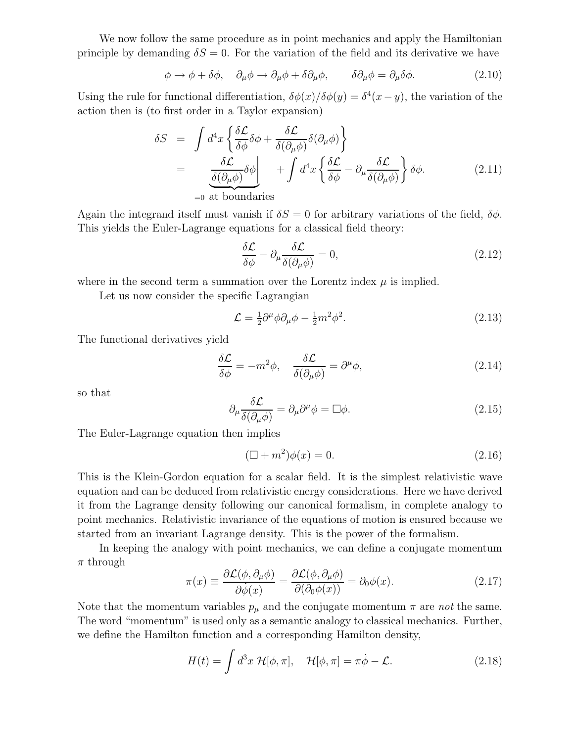We now follow the same procedure as in point mechanics and apply the Hamiltonian principle by demanding  $\delta S = 0$ . For the variation of the field and its derivative we have

$$
\phi \to \phi + \delta\phi, \quad \partial_{\mu}\phi \to \partial_{\mu}\phi + \delta\partial_{\mu}\phi, \qquad \delta\partial_{\mu}\phi = \partial_{\mu}\delta\phi. \tag{2.10}
$$

Using the rule for functional differentiation,  $\delta\phi(x)/\delta\phi(y) = \delta^4(x - y)$ , the variation of the action then is (to first order in a Taylor expansion)

$$
\delta S = \int d^4x \left\{ \frac{\delta \mathcal{L}}{\delta \phi} \delta \phi + \frac{\delta \mathcal{L}}{\delta (\partial_\mu \phi)} \delta (\partial_\mu \phi) \right\}
$$
  
= 
$$
\underbrace{\frac{\delta \mathcal{L}}{\delta (\partial_\mu \phi)} \delta \phi}_{=0 \text{ at boundaries}} + \int d^4x \left\{ \frac{\delta \mathcal{L}}{\delta \phi} - \partial_\mu \frac{\delta \mathcal{L}}{\delta (\partial_\mu \phi)} \right\} \delta \phi.
$$
 (2.11)

Again the integrand itself must vanish if  $\delta S = 0$  for arbitrary variations of the field,  $\delta \phi$ . This yields the Euler-Lagrange equations for a classical field theory:

$$
\frac{\delta \mathcal{L}}{\delta \phi} - \partial_{\mu} \frac{\delta \mathcal{L}}{\delta (\partial_{\mu} \phi)} = 0, \tag{2.12}
$$

where in the second term a summation over the Lorentz index  $\mu$  is implied.

Let us now consider the specific Lagrangian

$$
\mathcal{L} = \frac{1}{2}\partial^{\mu}\phi\partial_{\mu}\phi - \frac{1}{2}m^{2}\phi^{2}.
$$
\n(2.13)

The functional derivatives yield

$$
\frac{\delta \mathcal{L}}{\delta \phi} = -m^2 \phi, \quad \frac{\delta \mathcal{L}}{\delta(\partial_\mu \phi)} = \partial^\mu \phi,
$$
\n(2.14)

so that

$$
\partial_{\mu} \frac{\delta \mathcal{L}}{\delta(\partial_{\mu} \phi)} = \partial_{\mu} \partial^{\mu} \phi = \Box \phi. \tag{2.15}
$$

The Euler-Lagrange equation then implies

$$
(\Box + m^2)\phi(x) = 0. \tag{2.16}
$$

This is the Klein-Gordon equation for a scalar field. It is the simplest relativistic wave equation and can be deduced from relativistic energy considerations. Here we have derived it from the Lagrange density following our canonical formalism, in complete analogy to point mechanics. Relativistic invariance of the equations of motion is ensured because we started from an invariant Lagrange density. This is the power of the formalism.

In keeping the analogy with point mechanics, we can define a conjugate momentum  $\pi$  through

$$
\pi(x) \equiv \frac{\partial \mathcal{L}(\phi, \partial_{\mu}\phi)}{\partial \dot{\phi}(x)} = \frac{\partial \mathcal{L}(\phi, \partial_{\mu}\phi)}{\partial(\partial_{0}\phi(x))} = \partial_{0}\phi(x). \tag{2.17}
$$

Note that the momentum variables  $p_{\mu}$  and the conjugate momentum  $\pi$  are *not* the same. The word "momentum" is used only as a semantic analogy to classical mechanics. Further, we define the Hamilton function and a corresponding Hamilton density,

$$
H(t) = \int d^3x \ \mathcal{H}[\phi, \pi], \quad \mathcal{H}[\phi, \pi] = \pi \dot{\phi} - \mathcal{L}.
$$
 (2.18)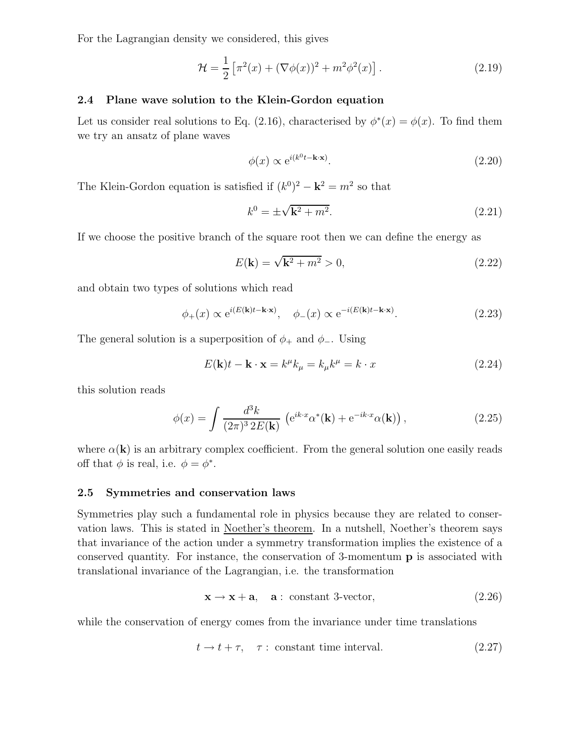For the Lagrangian density we considered, this gives

$$
\mathcal{H} = \frac{1}{2} \left[ \pi^2(x) + (\nabla \phi(x))^2 + m^2 \phi^2(x) \right].
$$
 (2.19)

### **2.4 Plane wave solution to the Klein-Gordon equation**

Let us consider real solutions to Eq. (2.16), characterised by  $\phi^*(x) = \phi(x)$ . To find them we try an ansatz of plane waves

$$
\phi(x) \propto e^{i(k^0 t - \mathbf{k} \cdot \mathbf{x})}.\tag{2.20}
$$

The Klein-Gordon equation is satisfied if  $(k^0)^2 - k^2 = m^2$  so that

$$
k^0 = \pm \sqrt{\mathbf{k}^2 + m^2}.
$$
 (2.21)

If we choose the positive branch of the square root then we can define the energy as

$$
E(\mathbf{k}) = \sqrt{\mathbf{k}^2 + m^2} > 0,
$$
\n(2.22)

and obtain two types of solutions which read

$$
\phi_{+}(x) \propto e^{i(E(\mathbf{k})t - \mathbf{k} \cdot \mathbf{x})}, \quad \phi_{-}(x) \propto e^{-i(E(\mathbf{k})t - \mathbf{k} \cdot \mathbf{x})}.
$$
\n(2.23)

The general solution is a superposition of  $\phi_+$  and  $\phi_-$ . Using

$$
E(\mathbf{k})t - \mathbf{k} \cdot \mathbf{x} = k^{\mu}k_{\mu} = k_{\mu}k^{\mu} = k \cdot x \tag{2.24}
$$

this solution reads

$$
\phi(x) = \int \frac{d^3k}{(2\pi)^3 2E(\mathbf{k})} \left( e^{ik \cdot x} \alpha^*(\mathbf{k}) + e^{-ik \cdot x} \alpha(\mathbf{k}) \right), \tag{2.25}
$$

where  $\alpha(\mathbf{k})$  is an arbitrary complex coefficient. From the general solution one easily reads off that  $\phi$  is real, i.e.  $\phi = \phi^*$ .

#### **2.5 Symmetries and conservation laws**

Symmetries play such a fundamental role in physics because they are related to conservation laws. This is stated in Noether's theorem. In a nutshell, Noether's theorem says that invariance of the action under a symmetry transformation implies the existence of a conserved quantity. For instance, the conservation of 3-momentum **p** is associated with translational invariance of the Lagrangian, i.e. the transformation

$$
\mathbf{x} \to \mathbf{x} + \mathbf{a}, \quad \mathbf{a}: \text{ constant 3-vector}, \tag{2.26}
$$

while the conservation of energy comes from the invariance under time translations

$$
t \to t + \tau, \quad \tau: \text{ constant time interval.} \tag{2.27}
$$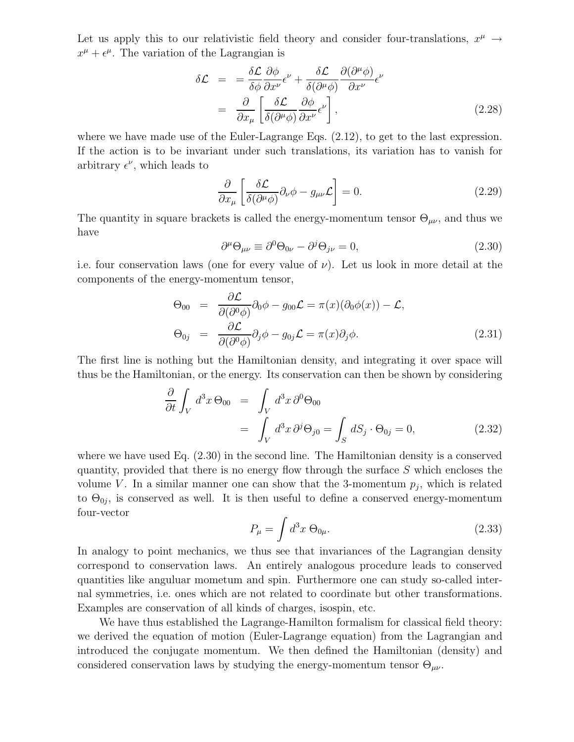Let us apply this to our relativistic field theory and consider four-translations,  $x^{\mu} \rightarrow$  $x^{\mu} + \epsilon^{\mu}$ . The variation of the Lagrangian is

$$
\delta \mathcal{L} = = \frac{\delta \mathcal{L}}{\delta \phi} \frac{\partial \phi}{\partial x^{\nu}} \epsilon^{\nu} + \frac{\delta \mathcal{L}}{\delta (\partial^{\mu} \phi)} \frac{\partial (\partial^{\mu} \phi)}{\partial x^{\nu}} \epsilon^{\nu} \n= \frac{\partial}{\partial x_{\mu}} \left[ \frac{\delta \mathcal{L}}{\delta (\partial^{\mu} \phi)} \frac{\partial \phi}{\partial x^{\nu}} \epsilon^{\nu} \right],
$$
\n(2.28)

where we have made use of the Euler-Lagrange Eqs. (2.12), to get to the last expression. If the action is to be invariant under such translations, its variation has to vanish for arbitrary  $\epsilon^{\nu}$ , which leads to

$$
\frac{\partial}{\partial x_{\mu}} \left[ \frac{\delta \mathcal{L}}{\delta(\partial^{\mu} \phi)} \partial_{\nu} \phi - g_{\mu \nu} \mathcal{L} \right] = 0.
$$
\n(2.29)

The quantity in square brackets is called the energy-momentum tensor  $\Theta_{\mu\nu}$ , and thus we have

$$
\partial^{\mu} \Theta_{\mu\nu} \equiv \partial^{0} \Theta_{0\nu} - \partial^{j} \Theta_{j\nu} = 0, \qquad (2.30)
$$

i.e. four conservation laws (one for every value of  $\nu$ ). Let us look in more detail at the components of the energy-momentum tensor,

$$
\Theta_{00} = \frac{\partial \mathcal{L}}{\partial(\partial^0 \phi)} \partial_0 \phi - g_{00} \mathcal{L} = \pi(x) (\partial_0 \phi(x)) - \mathcal{L},
$$
  
\n
$$
\Theta_{0j} = \frac{\partial \mathcal{L}}{\partial(\partial^0 \phi)} \partial_j \phi - g_{0j} \mathcal{L} = \pi(x) \partial_j \phi.
$$
\n(2.31)

The first line is nothing but the Hamiltonian density, and integrating it over space will thus be the Hamiltonian, or the energy. Its conservation can then be shown by considering

$$
\frac{\partial}{\partial t} \int_{V} d^{3}x \,\Theta_{00} = \int_{V} d^{3}x \,\partial^{0}\Theta_{00}
$$
\n
$$
= \int_{V} d^{3}x \,\partial^{j}\Theta_{j0} = \int_{S} dS_{j} \cdot \Theta_{0j} = 0,
$$
\n(2.32)

where we have used Eq. (2.30) in the second line. The Hamiltonian density is a conserved quantity, provided that there is no energy flow through the surface  $S$  which encloses the volume V. In a similar manner one can show that the 3-momentum  $p_i$ , which is related to  $\Theta_{0j}$ , is conserved as well. It is then useful to define a conserved energy-momentum four-vector

$$
P_{\mu} = \int d^3x \ \Theta_{0\mu}.
$$
 (2.33)

In analogy to point mechanics, we thus see that invariances of the Lagrangian density correspond to conservation laws. An entirely analogous procedure leads to conserved quantities like anguluar mometum and spin. Furthermore one can study so-called internal symmetries, i.e. ones which are not related to coordinate but other transformations. Examples are conservation of all kinds of charges, isospin, etc.

We have thus established the Lagrange-Hamilton formalism for classical field theory: we derived the equation of motion (Euler-Lagrange equation) from the Lagrangian and introduced the conjugate momentum. We then defined the Hamiltonian (density) and considered conservation laws by studying the energy-momentum tensor  $\Theta_{\mu\nu}$ .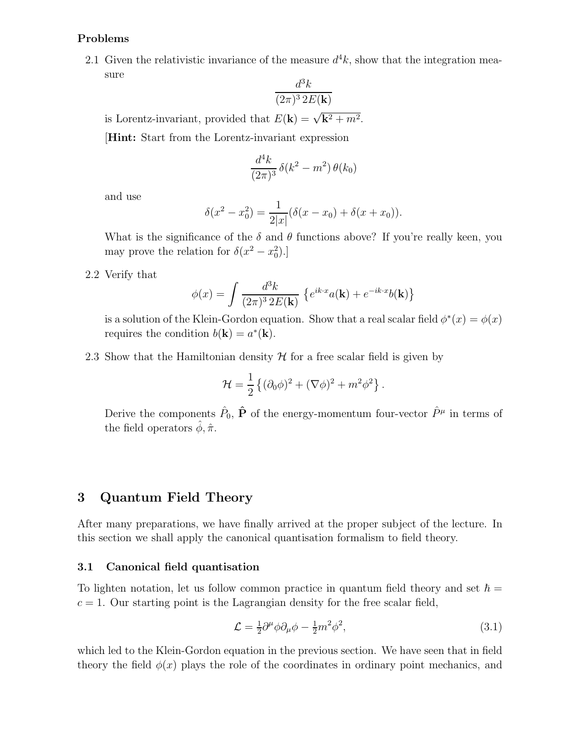### **Problems**

2.1 Given the relativistic invariance of the measure  $d^4k$ , show that the integration measure

$$
\frac{d^3k}{(2\pi)^3 2E(\mathbf{k})}
$$

is Lorentz-invariant, provided that  $E(\mathbf{k}) = \sqrt{\mathbf{k}^2 + m^2}$ .

[**Hint:** Start from the Lorentz-invariant expression

$$
\frac{d^4k}{(2\pi)^3}\,\delta(k^2 - m^2)\,\theta(k_0)
$$

and use

$$
\delta(x^{2} - x_{0}^{2}) = \frac{1}{2|x|}(\delta(x - x_{0}) + \delta(x + x_{0})).
$$

What is the significance of the  $\delta$  and  $\theta$  functions above? If you're really keen, you may prove the relation for  $\delta(x^2 - x_0^2)$ .

2.2 Verify that

$$
\phi(x) = \int \frac{d^3k}{(2\pi)^3 2E(\mathbf{k})} \left\{ e^{ik \cdot x} a(\mathbf{k}) + e^{-ik \cdot x} b(\mathbf{k}) \right\}
$$

is a solution of the Klein-Gordon equation. Show that a real scalar field  $\phi^*(x) = \phi(x)$ requires the condition  $b(\mathbf{k}) = a^*(\mathbf{k})$ .

2.3 Show that the Hamiltonian density  $H$  for a free scalar field is given by

$$
\mathcal{H} = \frac{1}{2} \left\{ (\partial_0 \phi)^2 + (\nabla \phi)^2 + m^2 \phi^2 \right\}.
$$

Derive the components  $\hat{P}_0$ ,  $\hat{P}$  of the energy-momentum four-vector  $\hat{P}^{\mu}$  in terms of the field operators  $\hat{\phi}, \hat{\pi}$ .

## **3 Quantum Field Theory**

After many preparations, we have finally arrived at the proper subject of the lecture. In this section we shall apply the canonical quantisation formalism to field theory.

### **3.1 Canonical field quantisation**

To lighten notation, let us follow common practice in quantum field theory and set  $\hbar =$  $c = 1$ . Our starting point is the Lagrangian density for the free scalar field,

$$
\mathcal{L} = \frac{1}{2}\partial^{\mu}\phi\partial_{\mu}\phi - \frac{1}{2}m^2\phi^2,\tag{3.1}
$$

which led to the Klein-Gordon equation in the previous section. We have seen that in field theory the field  $\phi(x)$  plays the role of the coordinates in ordinary point mechanics, and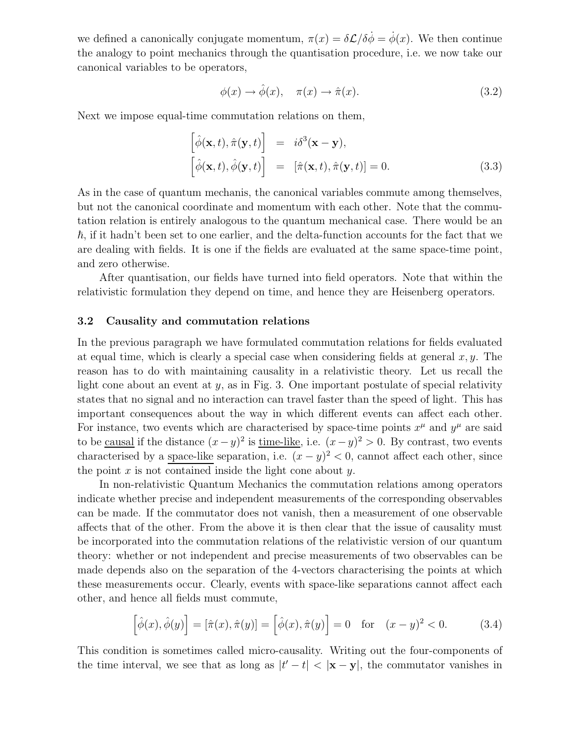we defined a canonically conjugate momentum,  $\pi(x) = \delta \mathcal{L}/\delta \phi = \dot{\phi}(x)$ . We then continue the analogy to point mechanics through the quantisation procedure, i.e. we now take our canonical variables to be operators,

$$
\phi(x) \to \hat{\phi}(x), \quad \pi(x) \to \hat{\pi}(x). \tag{3.2}
$$

Next we impose equal-time commutation relations on them,

$$
\begin{bmatrix}\n\hat{\phi}(\mathbf{x},t), \hat{\pi}(\mathbf{y},t)\n\end{bmatrix} = i\delta^3(\mathbf{x}-\mathbf{y}),
$$
\n
$$
\begin{bmatrix}\n\hat{\phi}(\mathbf{x},t), \hat{\phi}(\mathbf{y},t)\n\end{bmatrix} = [\hat{\pi}(\mathbf{x},t), \hat{\pi}(\mathbf{y},t)] = 0.
$$
\n(3.3)

As in the case of quantum mechanis, the canonical variables commute among themselves, but not the canonical coordinate and momentum with each other. Note that the commutation relation is entirely analogous to the quantum mechanical case. There would be an -, if it hadn't been set to one earlier, and the delta-function accounts for the fact that we are dealing with fields. It is one if the fields are evaluated at the same space-time point, and zero otherwise.

After quantisation, our fields have turned into field operators. Note that within the relativistic formulation they depend on time, and hence they are Heisenberg operators.

#### **3.2 Causality and commutation relations**

In the previous paragraph we have formulated commutation relations for fields evaluated at equal time, which is clearly a special case when considering fields at general  $x, y$ . The reason has to do with maintaining causality in a relativistic theory. Let us recall the light cone about an event at  $y$ , as in Fig. 3. One important postulate of special relativity states that no signal and no interaction can travel faster than the speed of light. This has important consequences about the way in which different events can affect each other. For instance, two events which are characterised by space-time points  $x^{\mu}$  and  $y^{\mu}$  are said to be causal if the distance  $(x-y)^2$  is time-like, i.e.  $(x-y)^2 > 0$ . By contrast, two events characterised by a space-like separation, i.e.  $(x - y)^2 < 0$ , cannot affect each other, since the point  $x$  is not contained inside the light cone about  $y$ .

In non-relativistic Quantum Mechanics the commutation relations among operators indicate whether precise and independent measurements of the corresponding observables can be made. If the commutator does not vanish, then a measurement of one observable affects that of the other. From the above it is then clear that the issue of causality must be incorporated into the commutation relations of the relativistic version of our quantum theory: whether or not independent and precise measurements of two observables can be made depends also on the separation of the 4-vectors characterising the points at which these measurements occur. Clearly, events with space-like separations cannot affect each other, and hence all fields must commute,

$$
\left[\hat{\phi}(x), \hat{\phi}(y)\right] = \left[\hat{\pi}(x), \hat{\pi}(y)\right] = \left[\hat{\phi}(x), \hat{\pi}(y)\right] = 0 \quad \text{for} \quad (x - y)^2 < 0. \tag{3.4}
$$

This condition is sometimes called micro-causality. Writing out the four-components of the time interval, we see that as long as  $|t'-t| < |x-y|$ , the commutator vanishes in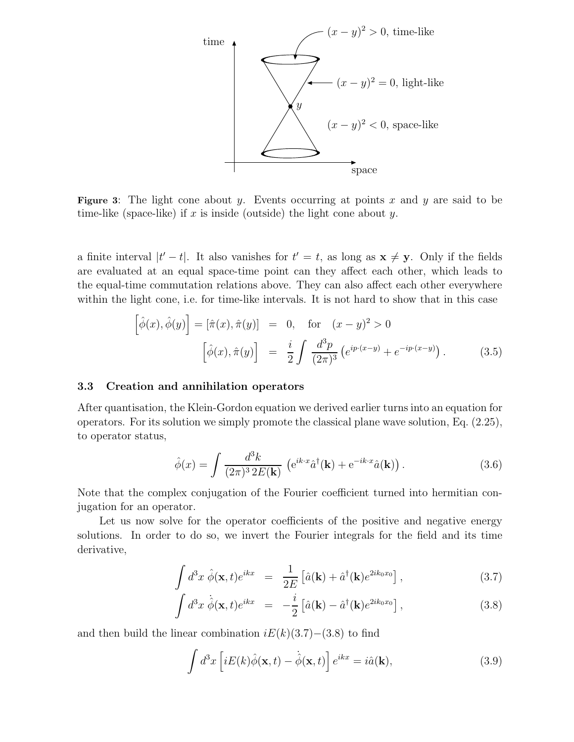

**Figure 3**: The light cone about y. Events occurring at points x and y are said to be time-like (space-like) if x is inside (outside) the light cone about y.

a finite interval  $|t'-t|$ . It also vanishes for  $t'=t$ , as long as  $\mathbf{x} \neq \mathbf{y}$ . Only if the fields are evaluated at an equal space-time point can they affect each other, which leads to the equal-time commutation relations above. They can also affect each other everywhere within the light cone, i.e. for time-like intervals. It is not hard to show that in this case

$$
\left[\hat{\phi}(x), \hat{\phi}(y)\right] = \left[\hat{\pi}(x), \hat{\pi}(y)\right] = 0, \quad \text{for} \quad (x - y)^2 > 0
$$
\n
$$
\left[\hat{\phi}(x), \hat{\pi}(y)\right] = \frac{i}{2} \int \frac{d^3 p}{(2\pi)^3} \left(e^{ip \cdot (x - y)} + e^{-ip \cdot (x - y)}\right). \tag{3.5}
$$

#### **3.3 Creation and annihilation operators**

After quantisation, the Klein-Gordon equation we derived earlier turns into an equation for operators. For its solution we simply promote the classical plane wave solution, Eq. (2.25), to operator status,

$$
\hat{\phi}(x) = \int \frac{d^3k}{(2\pi)^3 2E(\mathbf{k})} \left( e^{ik \cdot x} \hat{a}^\dagger(\mathbf{k}) + e^{-ik \cdot x} \hat{a}(\mathbf{k}) \right).
$$
 (3.6)

Note that the complex conjugation of the Fourier coefficient turned into hermitian conjugation for an operator.

Let us now solve for the operator coefficients of the positive and negative energy solutions. In order to do so, we invert the Fourier integrals for the field and its time derivative,

$$
\int d^3x \; \hat{\phi}(\mathbf{x},t)e^{ikx} = \frac{1}{2E} \left[ \hat{a}(\mathbf{k}) + \hat{a}^\dagger(\mathbf{k})e^{2ik_0x_0} \right],\tag{3.7}
$$

$$
\int d^3x \dot{\hat{\phi}}(\mathbf{x},t)e^{ikx} = -\frac{i}{2} \left[ \hat{a}(\mathbf{k}) - \hat{a}^\dagger(\mathbf{k})e^{2ik_0x_0} \right],
$$
\n(3.8)

and then build the linear combination  $iE(k)(3.7)$ −(3.8) to find

$$
\int d^3x \left[ iE(k)\hat{\phi}(\mathbf{x},t) - \dot{\hat{\phi}}(\mathbf{x},t) \right] e^{ikx} = i\hat{a}(\mathbf{k}),\tag{3.9}
$$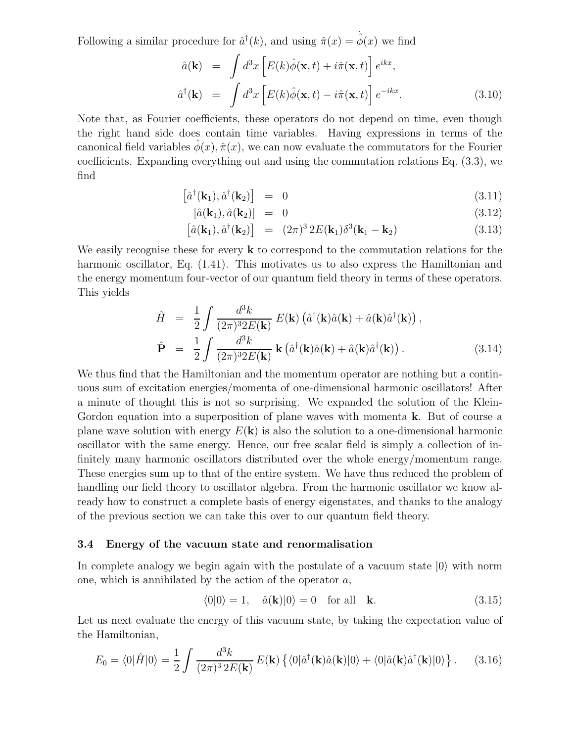Following a similar procedure for  $\hat{a}^{\dagger}(k)$ , and using  $\hat{\pi}(x) = \dot{\hat{\phi}}(x)$  we find

$$
\hat{a}(\mathbf{k}) = \int d^3x \left[ E(k)\hat{\phi}(\mathbf{x},t) + i\hat{\pi}(\mathbf{x},t) \right] e^{ikx},
$$
  

$$
\hat{a}^\dagger(\mathbf{k}) = \int d^3x \left[ E(k)\hat{\phi}(\mathbf{x},t) - i\hat{\pi}(\mathbf{x},t) \right] e^{-ikx}.
$$
 (3.10)

Note that, as Fourier coefficients, these operators do not depend on time, even though the right hand side does contain time variables. Having expressions in terms of the canonical field variables  $\hat{\phi}(x)$ ,  $\hat{\pi}(x)$ , we can now evaluate the commutators for the Fourier coefficients. Expanding everything out and using the commutation relations Eq. (3.3), we find

$$
\left[\hat{a}^{\dagger}(\mathbf{k}_1), \hat{a}^{\dagger}(\mathbf{k}_2)\right] = 0 \tag{3.11}
$$

$$
[\hat{a}(\mathbf{k}_1), \hat{a}(\mathbf{k}_2)] = 0 \tag{3.12}
$$

$$
\left[\hat{a}(\mathbf{k}_1), \hat{a}^\dagger(\mathbf{k}_2)\right] = (2\pi)^3 2E(\mathbf{k}_1)\delta^3(\mathbf{k}_1 - \mathbf{k}_2) \tag{3.13}
$$

We easily recognise these for every **k** to correspond to the commutation relations for the harmonic oscillator, Eq.  $(1.41)$ . This motivates us to also express the Hamiltonian and the energy momentum four-vector of our quantum field theory in terms of these operators. This yields

$$
\hat{H} = \frac{1}{2} \int \frac{d^3k}{(2\pi)^3 2E(\mathbf{k})} E(\mathbf{k}) (\hat{a}^\dagger(\mathbf{k})\hat{a}(\mathbf{k}) + \hat{a}(\mathbf{k})\hat{a}^\dagger(\mathbf{k})),
$$
\n
$$
\hat{\mathbf{P}} = \frac{1}{2} \int \frac{d^3k}{(2\pi)^3 2E(\mathbf{k})} \mathbf{k} (\hat{a}^\dagger(\mathbf{k})\hat{a}(\mathbf{k}) + \hat{a}(\mathbf{k})\hat{a}^\dagger(\mathbf{k})).
$$
\n(3.14)

We thus find that the Hamiltonian and the momentum operator are nothing but a continuous sum of excitation energies/momenta of one-dimensional harmonic oscillators! After a minute of thought this is not so surprising. We expanded the solution of the Klein-Gordon equation into a superposition of plane waves with momenta **k**. But of course a plane wave solution with energy  $E(\mathbf{k})$  is also the solution to a one-dimensional harmonic oscillator with the same energy. Hence, our free scalar field is simply a collection of infinitely many harmonic oscillators distributed over the whole energy/momentum range. These energies sum up to that of the entire system. We have thus reduced the problem of handling our field theory to oscillator algebra. From the harmonic oscillator we know already how to construct a complete basis of energy eigenstates, and thanks to the analogy of the previous section we can take this over to our quantum field theory.

#### **3.4 Energy of the vacuum state and renormalisation**

In complete analogy we begin again with the postulate of a vacuum state  $|0\rangle$  with norm one, which is annihilated by the action of the operator  $a$ ,

$$
\langle 0|0 \rangle = 1, \quad \hat{a}(\mathbf{k})|0 \rangle = 0 \quad \text{for all} \quad \mathbf{k}.
$$
 (3.15)

Let us next evaluate the energy of this vacuum state, by taking the expectation value of the Hamiltonian,

$$
E_0 = \langle 0|\hat{H}|0\rangle = \frac{1}{2} \int \frac{d^3k}{(2\pi)^3 2E(\mathbf{k})} E(\mathbf{k}) \left\{ \langle 0|\hat{a}^\dagger(\mathbf{k})\hat{a}(\mathbf{k})|0\rangle + \langle 0|\hat{a}(\mathbf{k})\hat{a}^\dagger(\mathbf{k})|0\rangle \right\}.
$$
 (3.16)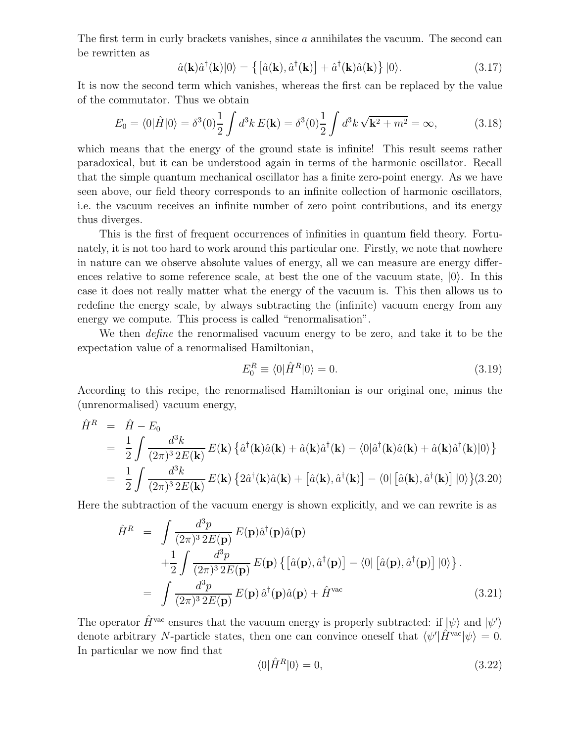The first term in curly brackets vanishes, since a annihilates the vacuum. The second can be rewritten as

$$
\hat{a}(\mathbf{k})\hat{a}^{\dagger}(\mathbf{k})|0\rangle = \left\{ \left[ \hat{a}(\mathbf{k}), \hat{a}^{\dagger}(\mathbf{k}) \right] + \hat{a}^{\dagger}(\mathbf{k})\hat{a}(\mathbf{k}) \right\} |0\rangle. \tag{3.17}
$$

It is now the second term which vanishes, whereas the first can be replaced by the value of the commutator. Thus we obtain

$$
E_0 = \langle 0|\hat{H}|0\rangle = \delta^3(0)\frac{1}{2}\int d^3k E(\mathbf{k}) = \delta^3(0)\frac{1}{2}\int d^3k \sqrt{\mathbf{k}^2 + m^2} = \infty,
$$
 (3.18)

which means that the energy of the ground state is infinite! This result seems rather paradoxical, but it can be understood again in terms of the harmonic oscillator. Recall that the simple quantum mechanical oscillator has a finite zero-point energy. As we have seen above, our field theory corresponds to an infinite collection of harmonic oscillators, i.e. the vacuum receives an infinite number of zero point contributions, and its energy thus diverges.

This is the first of frequent occurrences of infinities in quantum field theory. Fortunately, it is not too hard to work around this particular one. Firstly, we note that nowhere in nature can we observe absolute values of energy, all we can measure are energy differences relative to some reference scale, at best the one of the vacuum state,  $|0\rangle$ . In this case it does not really matter what the energy of the vacuum is. This then allows us to redefine the energy scale, by always subtracting the (infinite) vacuum energy from any energy we compute. This process is called "renormalisation".

We then *define* the renormalised vacuum energy to be zero, and take it to be the expectation value of a renormalised Hamiltonian,

$$
E_0^R \equiv \langle 0 | \hat{H}^R | 0 \rangle = 0. \tag{3.19}
$$

According to this recipe, the renormalised Hamiltonian is our original one, minus the (unrenormalised) vacuum energy,

$$
\hat{H}^{R} = \hat{H} - E_{0}
$$
\n
$$
= \frac{1}{2} \int \frac{d^{3}k}{(2\pi)^{3} 2E(\mathbf{k})} E(\mathbf{k}) \left\{ \hat{a}^{\dagger}(\mathbf{k}) \hat{a}(\mathbf{k}) + \hat{a}(\mathbf{k}) \hat{a}^{\dagger}(\mathbf{k}) - \langle 0 | \hat{a}^{\dagger}(\mathbf{k}) \hat{a}(\mathbf{k}) + \hat{a}(\mathbf{k}) \hat{a}^{\dagger}(\mathbf{k}) | 0 \rangle \right\}
$$
\n
$$
= \frac{1}{2} \int \frac{d^{3}k}{(2\pi)^{3} 2E(\mathbf{k})} E(\mathbf{k}) \left\{ 2\hat{a}^{\dagger}(\mathbf{k}) \hat{a}(\mathbf{k}) + \left[ \hat{a}(\mathbf{k}), \hat{a}^{\dagger}(\mathbf{k}) \right] - \langle 0 | \left[ \hat{a}(\mathbf{k}), \hat{a}^{\dagger}(\mathbf{k}) \right] | 0 \rangle \right\} (3.20)
$$

Here the subtraction of the vacuum energy is shown explicitly, and we can rewrite is as

$$
\hat{H}^{R} = \int \frac{d^{3}p}{(2\pi)^{3} 2E(\mathbf{p})} E(\mathbf{p}) \hat{a}^{\dagger}(\mathbf{p}) \hat{a}(\mathbf{p}) \n+ \frac{1}{2} \int \frac{d^{3}p}{(2\pi)^{3} 2E(\mathbf{p})} E(\mathbf{p}) \left\{ \left[ \hat{a}(\mathbf{p}), \hat{a}^{\dagger}(\mathbf{p}) \right] - \langle 0 \right| \left[ \hat{a}(\mathbf{p}), \hat{a}^{\dagger}(\mathbf{p}) \right] |0 \rangle \right\}.
$$
\n
$$
= \int \frac{d^{3}p}{(2\pi)^{3} 2E(\mathbf{p})} E(\mathbf{p}) \hat{a}^{\dagger}(\mathbf{p}) \hat{a}(\mathbf{p}) + \hat{H}^{\text{vac}} \tag{3.21}
$$

The operator  $\hat{H}^{\text{vac}}$  ensures that the vacuum energy is properly subtracted: if  $|\psi\rangle$  and  $|\psi'\rangle$ denote arbitrary N-particle states, then one can convince oneself that  $\langle \psi' | \hat{H}^{\text{vac}} | \psi \rangle = 0$ . In particular we now find that

$$
\langle 0|\hat{H}^R|0\rangle = 0,\tag{3.22}
$$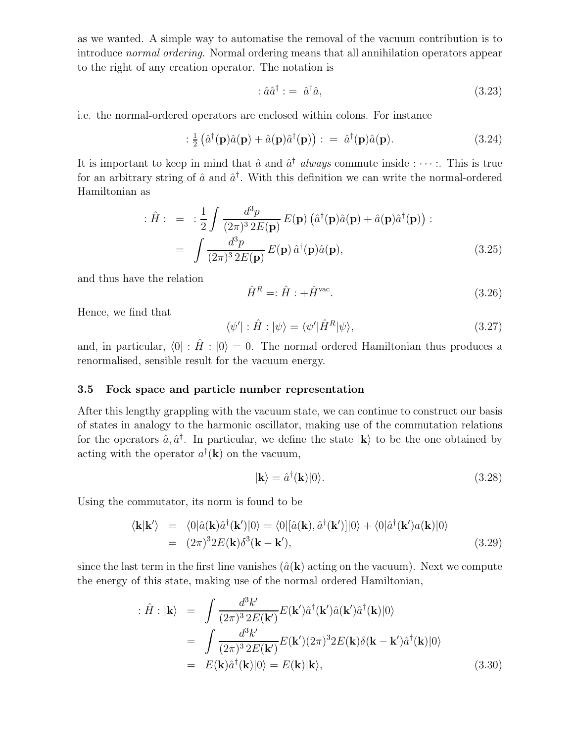as we wanted. A simple way to automatise the removal of the vacuum contribution is to introduce *normal ordering*. Normal ordering means that all annihilation operators appear to the right of any creation operator. The notation is

$$
\hat{a}\hat{a}^{\dagger} := \hat{a}^{\dagger}\hat{a},\tag{3.23}
$$

i.e. the normal-ordered operators are enclosed within colons. For instance

$$
:\frac{1}{2}\left(\hat{a}^{\dagger}(\mathbf{p})\hat{a}(\mathbf{p}) + \hat{a}(\mathbf{p})\hat{a}^{\dagger}(\mathbf{p})\right) : = \hat{a}^{\dagger}(\mathbf{p})\hat{a}(\mathbf{p}). \tag{3.24}
$$

It is important to keep in mind that  $\hat{a}$  and  $\hat{a}^{\dagger}$  *always* commute inside :  $\cdots$  :. This is true for an arbitrary string of  $\hat{a}$  and  $\hat{a}^{\dagger}$ . With this definition we can write the normal-ordered Hamiltonian as

$$
\begin{split}\n\therefore \hat{H} : &= \div \frac{1}{2} \int \frac{d^3 p}{(2\pi)^3 2E(\mathbf{p})} E(\mathbf{p}) \left( \hat{a}^\dagger(\mathbf{p}) \hat{a}(\mathbf{p}) + \hat{a}(\mathbf{p}) \hat{a}^\dagger(\mathbf{p}) \right) \\
&= \int \frac{d^3 p}{(2\pi)^3 2E(\mathbf{p})} E(\mathbf{p}) \hat{a}^\dagger(\mathbf{p}) \hat{a}(\mathbf{p}),\n\end{split} \tag{3.25}
$$

and thus have the relation

$$
\hat{H}^R = \hat{H} : +\hat{H}^{\text{vac}}.
$$
\n(3.26)

Hence, we find that

$$
\langle \psi' | : \hat{H} : | \psi \rangle = \langle \psi' | \hat{H}^R | \psi \rangle,\tag{3.27}
$$

and, in particular,  $\langle 0 | : \hat{H} : | 0 \rangle = 0$ . The normal ordered Hamiltonian thus produces a renormalised, sensible result for the vacuum energy.

### **3.5 Fock space and particle number representation**

After this lengthy grappling with the vacuum state, we can continue to construct our basis of states in analogy to the harmonic oscillator, making use of the commutation relations for the operators  $\hat{a}, \hat{a}^{\dagger}$ . In particular, we define the state  $|\mathbf{k}\rangle$  to be the one obtained by acting with the operator  $a^{\dagger}(\mathbf{k})$  on the vacuum,

$$
|\mathbf{k}\rangle = \hat{a}^{\dagger}(\mathbf{k})|0\rangle. \tag{3.28}
$$

Using the commutator, its norm is found to be

$$
\langle \mathbf{k} | \mathbf{k'} \rangle = \langle 0 | \hat{a}(\mathbf{k}) \hat{a}^{\dagger}(\mathbf{k'}) | 0 \rangle = \langle 0 | [\hat{a}(\mathbf{k}), \hat{a}^{\dagger}(\mathbf{k'})] | 0 \rangle + \langle 0 | \hat{a}^{\dagger}(\mathbf{k'}) a(\mathbf{k}) | 0 \rangle
$$
  
=  $(2\pi)^3 2E(\mathbf{k}) \delta^3(\mathbf{k} - \mathbf{k'}),$  (3.29)

since the last term in the first line vanishes  $(\hat{a}(\mathbf{k})$  acting on the vacuum). Next we compute the energy of this state, making use of the normal ordered Hamiltonian,

$$
\begin{split}\n\therefore \hat{H} : | \mathbf{k} \rangle &= \int \frac{d^3 k'}{(2\pi)^3 2E(\mathbf{k}')} E(\mathbf{k}') \hat{a}^\dagger(\mathbf{k}') \hat{a}(\mathbf{k}') \hat{a}^\dagger(\mathbf{k}) |0\rangle \\
&= \int \frac{d^3 k'}{(2\pi)^3 2E(\mathbf{k}')} E(\mathbf{k}') (2\pi)^3 2E(\mathbf{k}) \delta(\mathbf{k} - \mathbf{k}') \hat{a}^\dagger(\mathbf{k}) |0\rangle \\
&= E(\mathbf{k}) \hat{a}^\dagger(\mathbf{k}) |0\rangle = E(\mathbf{k}) | \mathbf{k} \rangle,\n\end{split} \tag{3.30}
$$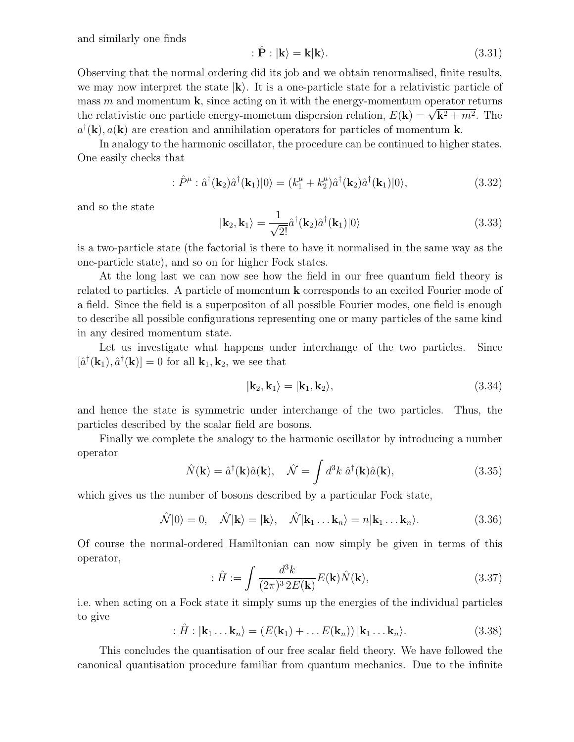and similarly one finds

$$
\hat{\mathbf{P}} : |\mathbf{k}\rangle = \mathbf{k}|\mathbf{k}\rangle. \tag{3.31}
$$

Observing that the normal ordering did its job and we obtain renormalised, finite results, we may now interpret the state  $|\mathbf{k}\rangle$ . It is a one-particle state for a relativistic particle of mass  $m$  and momentum  $\bf{k}$ , since acting on it with the energy-momentum operator returns the relativistic one particle energy-mometum dispersion relation,  $E(\mathbf{k}) = \sqrt{\mathbf{k}^2 + m^2}$ . The  $a^{\dagger}(\mathbf{k}), a(\mathbf{k})$  are creation and annihilation operators for particles of momentum **k**.

In analogy to the harmonic oscillator, the procedure can be continued to higher states. One easily checks that

$$
\hat{P}^{\mu} : \hat{a}^{\dagger}(\mathbf{k}_{2})\hat{a}^{\dagger}(\mathbf{k}_{1})|0\rangle = (k_{1}^{\mu} + k_{2}^{\mu})\hat{a}^{\dagger}(\mathbf{k}_{2})\hat{a}^{\dagger}(\mathbf{k}_{1})|0\rangle, \tag{3.32}
$$

and so the state

$$
|\mathbf{k}_2, \mathbf{k}_1\rangle = \frac{1}{\sqrt{2!}} \hat{a}^\dagger(\mathbf{k}_2) \hat{a}^\dagger(\mathbf{k}_1)|0\rangle
$$
 (3.33)

is a two-particle state (the factorial is there to have it normalised in the same way as the one-particle state), and so on for higher Fock states.

At the long last we can now see how the field in our free quantum field theory is related to particles. A particle of momentum **k** corresponds to an excited Fourier mode of a field. Since the field is a superpositon of all possible Fourier modes, one field is enough to describe all possible configurations representing one or many particles of the same kind in any desired momentum state.

Let us investigate what happens under interchange of the two particles. Since  $[\hat{a}^{\dagger}(\mathbf{k}_1), \hat{a}^{\dagger}(\mathbf{k})] = 0$  for all  $\mathbf{k}_1, \mathbf{k}_2$ , we see that

$$
|\mathbf{k}_2, \mathbf{k}_1\rangle = |\mathbf{k}_1, \mathbf{k}_2\rangle, \tag{3.34}
$$

and hence the state is symmetric under interchange of the two particles. Thus, the particles described by the scalar field are bosons.

Finally we complete the analogy to the harmonic oscillator by introducing a number operator

$$
\hat{N}(\mathbf{k}) = \hat{a}^{\dagger}(\mathbf{k})\hat{a}(\mathbf{k}), \quad \hat{\mathcal{N}} = \int d^3k \; \hat{a}^{\dagger}(\mathbf{k})\hat{a}(\mathbf{k}), \tag{3.35}
$$

which gives us the number of bosons described by a particular Fock state,

$$
\hat{\mathcal{N}}|0\rangle = 0, \quad \hat{\mathcal{N}}|\mathbf{k}\rangle = |\mathbf{k}\rangle, \quad \hat{\mathcal{N}}|\mathbf{k}_1 \dots \mathbf{k}_n\rangle = n|\mathbf{k}_1 \dots \mathbf{k}_n\rangle. \tag{3.36}
$$

Of course the normal-ordered Hamiltonian can now simply be given in terms of this operator,

$$
\hat{H} := \int \frac{d^3k}{(2\pi)^3 2E(\mathbf{k})} E(\mathbf{k}) \hat{N}(\mathbf{k}), \tag{3.37}
$$

i.e. when acting on a Fock state it simply sums up the energies of the individual particles to give

$$
\hat{H}: |\mathbf{k}_1 \dots \mathbf{k}_n\rangle = (E(\mathbf{k}_1) + \dots E(\mathbf{k}_n)) |\mathbf{k}_1 \dots \mathbf{k}_n\rangle.
$$
 (3.38)

This concludes the quantisation of our free scalar field theory. We have followed the canonical quantisation procedure familiar from quantum mechanics. Due to the infinite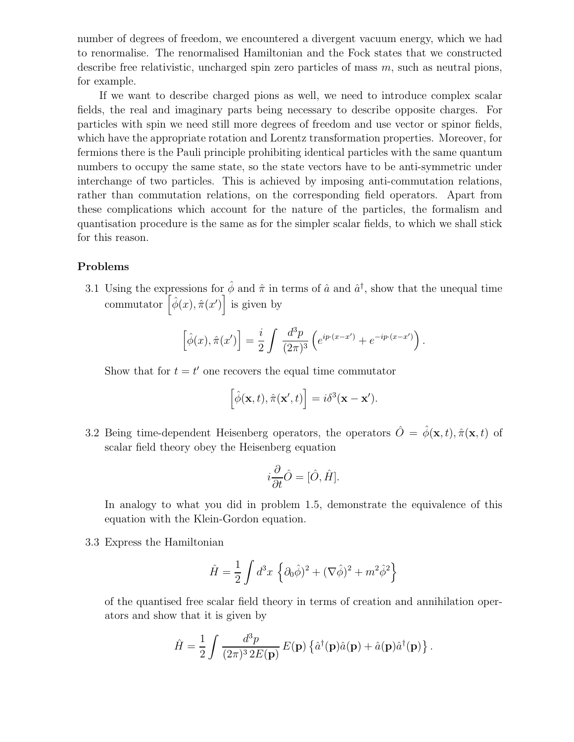number of degrees of freedom, we encountered a divergent vacuum energy, which we had to renormalise. The renormalised Hamiltonian and the Fock states that we constructed describe free relativistic, uncharged spin zero particles of mass m, such as neutral pions, for example.

If we want to describe charged pions as well, we need to introduce complex scalar fields, the real and imaginary parts being necessary to describe opposite charges. For particles with spin we need still more degrees of freedom and use vector or spinor fields, which have the appropriate rotation and Lorentz transformation properties. Moreover, for fermions there is the Pauli principle prohibiting identical particles with the same quantum numbers to occupy the same state, so the state vectors have to be anti-symmetric under interchange of two particles. This is achieved by imposing anti-commutation relations, rather than commutation relations, on the corresponding field operators. Apart from these complications which account for the nature of the particles, the formalism and quantisation procedure is the same as for the simpler scalar fields, to which we shall stick for this reason.

#### **Problems**

3.1 Using the expressions for  $\hat{\phi}$  and  $\hat{\pi}$  in terms of  $\hat{a}$  and  $\hat{a}^{\dagger}$ , show that the unequal time commutator  $\left[\hat{\phi}(x), \hat{\pi}(x')\right]$  is given by

$$
\left[\hat{\phi}(x), \hat{\pi}(x')\right] = \frac{i}{2} \int \frac{d^3p}{(2\pi)^3} \left(e^{ip \cdot (x-x')} + e^{-ip \cdot (x-x')} \right).
$$

Show that for  $t = t'$  one recovers the equal time commutator

$$
\left[\hat{\phi}(\mathbf{x},t),\hat{\pi}(\mathbf{x}',t)\right]=i\delta^3(\mathbf{x}-\mathbf{x}').
$$

3.2 Being time-dependent Heisenberg operators, the operators  $\hat{O} = \hat{\phi}(\mathbf{x}, t), \hat{\pi}(\mathbf{x}, t)$  of scalar field theory obey the Heisenberg equation

$$
i\frac{\partial}{\partial t}\hat{O} = [\hat{O}, \hat{H}].
$$

In analogy to what you did in problem 1.5, demonstrate the equivalence of this equation with the Klein-Gordon equation.

3.3 Express the Hamiltonian

$$
\hat{H} = \frac{1}{2} \int d^3x \left\{ \partial_0 \hat{\phi} \right\}^2 + (\nabla \hat{\phi})^2 + m^2 \hat{\phi}^2 \right\}
$$

of the quantised free scalar field theory in terms of creation and annihilation operators and show that it is given by

$$
\hat{H} = \frac{1}{2} \int \frac{d^3p}{(2\pi)^3 2E(\mathbf{p})} E(\mathbf{p}) \left\{ \hat{a}^\dagger(\mathbf{p}) \hat{a}(\mathbf{p}) + \hat{a}(\mathbf{p}) \hat{a}^\dagger(\mathbf{p}) \right\}.
$$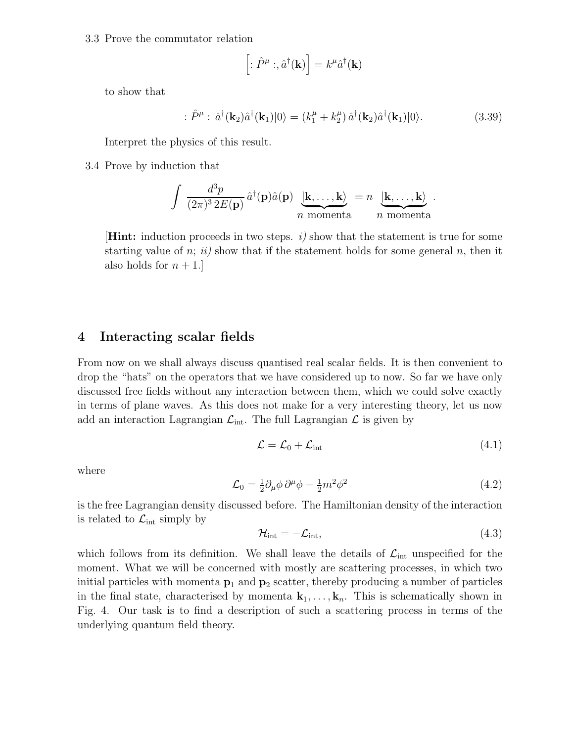3.3 Prove the commutator relation

$$
\left[:\hat{P}^{\mu} : \hat{a}^{\dagger}(\mathbf{k})\right] = k^{\mu}\hat{a}^{\dagger}(\mathbf{k})
$$

to show that

$$
\hat{P}^{\mu} : \hat{a}^{\dagger}(\mathbf{k}_{2})\hat{a}^{\dagger}(\mathbf{k}_{1})|0\rangle = (k_{1}^{\mu} + k_{2}^{\mu})\,\hat{a}^{\dagger}(\mathbf{k}_{2})\hat{a}^{\dagger}(\mathbf{k}_{1})|0\rangle. \tag{3.39}
$$

Interpret the physics of this result.

3.4 Prove by induction that

$$
\int \frac{d^3p}{(2\pi)^3 2E(\mathbf{p})} \hat{a}^{\dagger}(\mathbf{p}) \hat{a}(\mathbf{p}) \underbrace{\left|\mathbf{k},\ldots,\mathbf{k}\right\rangle}_{n \text{ momenta}} = n \underbrace{\left|\mathbf{k},\ldots,\mathbf{k}\right\rangle}_{n \text{ momenta}}.
$$

[**Hint:** induction proceeds in two steps. *i)* show that the statement is true for some starting value of n;  $ii)$  show that if the statement holds for some general n, then it also holds for  $n+1$ .

## **4 Interacting scalar fields**

From now on we shall always discuss quantised real scalar fields. It is then convenient to drop the "hats" on the operators that we have considered up to now. So far we have only discussed free fields without any interaction between them, which we could solve exactly in terms of plane waves. As this does not make for a very interesting theory, let us now add an interaction Lagrangian  $\mathcal{L}_{int}$ . The full Lagrangian  $\mathcal{L}$  is given by

$$
\mathcal{L} = \mathcal{L}_0 + \mathcal{L}_{\text{int}} \tag{4.1}
$$

where

$$
\mathcal{L}_0 = \frac{1}{2} \partial_\mu \phi \, \partial^\mu \phi - \frac{1}{2} m^2 \phi^2 \tag{4.2}
$$

is the free Lagrangian density discussed before. The Hamiltonian density of the interaction is related to  $\mathcal{L}_{int}$  simply by

$$
\mathcal{H}_{\text{int}} = -\mathcal{L}_{\text{int}},\tag{4.3}
$$

which follows from its definition. We shall leave the details of  $\mathcal{L}_{int}$  unspecified for the moment. What we will be concerned with mostly are scattering processes, in which two initial particles with momenta  $p_1$  and  $p_2$  scatter, thereby producing a number of particles in the final state, characterised by momenta  $\mathbf{k}_1,\ldots,\mathbf{k}_n$ . This is schematically shown in Fig. 4. Our task is to find a description of such a scattering process in terms of the underlying quantum field theory.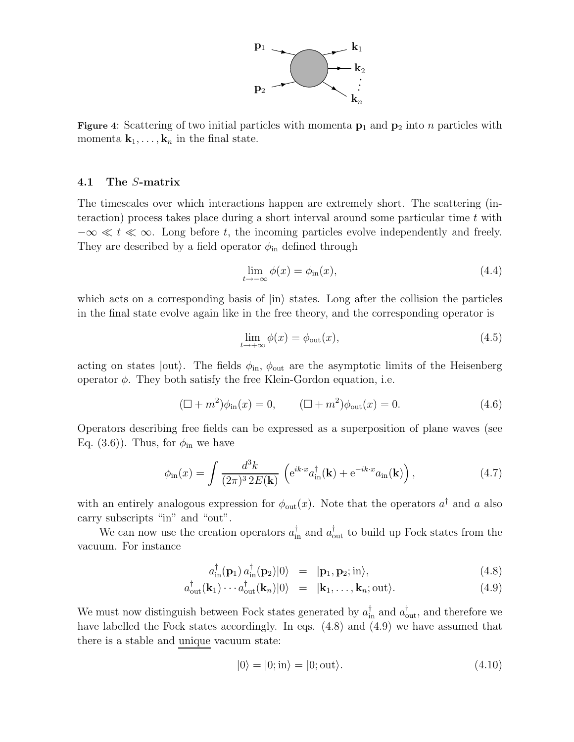

**Figure 4**: Scattering of two initial particles with momenta **<sup>p</sup>**<sup>1</sup> and **<sup>p</sup>**<sup>2</sup> into <sup>n</sup> particles with momenta  $\mathbf{k}_1,\ldots,\mathbf{k}_n$  in the final state.

#### **4.1 The** S**-matrix**

The timescales over which interactions happen are extremely short. The scattering (interaction) process takes place during a short interval around some particular time  $t$  with  $-\infty \ll t \ll \infty$ . Long before t, the incoming particles evolve independently and freely. They are described by a field operator  $\phi_{\rm in}$  defined through

$$
\lim_{t \to -\infty} \phi(x) = \phi_{\text{in}}(x),\tag{4.4}
$$

which acts on a corresponding basis of  $|in\rangle$  states. Long after the collision the particles in the final state evolve again like in the free theory, and the corresponding operator is

$$
\lim_{t \to +\infty} \phi(x) = \phi_{\text{out}}(x),\tag{4.5}
$$

acting on states  $|out\rangle$ . The fields  $\phi_{in}$ ,  $\phi_{out}$  are the asymptotic limits of the Heisenberg operator  $\phi$ . They both satisfy the free Klein-Gordon equation, i.e.

$$
(\Box + m^2)\phi_{\rm in}(x) = 0, \qquad (\Box + m^2)\phi_{\rm out}(x) = 0. \tag{4.6}
$$

Operators describing free fields can be expressed as a superposition of plane waves (see Eq. (3.6)). Thus, for  $\phi_{\rm in}$  we have

$$
\phi_{\rm in}(x) = \int \frac{d^3k}{(2\pi)^3 2E(\mathbf{k})} \left( e^{ik \cdot x} a_{\rm in}^\dagger(\mathbf{k}) + e^{-ik \cdot x} a_{\rm in}(\mathbf{k}) \right), \tag{4.7}
$$

with an entirely analogous expression for  $\phi_{\text{out}}(x)$ . Note that the operators  $a^{\dagger}$  and a also carry subscripts "in" and "out".

We can now use the creation operators  $a_{in}^{\dagger}$  and  $a_{out}^{\dagger}$  to build up Fock states from the vacuum. For instance

$$
a_{\text{in}}^{\dagger}(\mathbf{p}_1) a_{\text{in}}^{\dagger}(\mathbf{p}_2) |0\rangle = |\mathbf{p}_1, \mathbf{p}_2; \text{in}\rangle, \tag{4.8}
$$

$$
a_{\text{out}}^{\dagger}(\mathbf{k}_1)\cdots a_{\text{out}}^{\dagger}(\mathbf{k}_n)|0\rangle = |\mathbf{k}_1,\ldots,\mathbf{k}_n;\text{out}\rangle. \tag{4.9}
$$

We must now distinguish between Fock states generated by  $a_{\text{in}}^{\dagger}$  and  $a_{\text{out}}^{\dagger}$ , and therefore we have labelled the Fock states accordingly. In eqs.  $(4.8)$  and  $(4.9)$  we have assumed that there is a stable and unique vacuum state:

$$
|0\rangle = |0; \text{in}\rangle = |0; \text{out}\rangle. \tag{4.10}
$$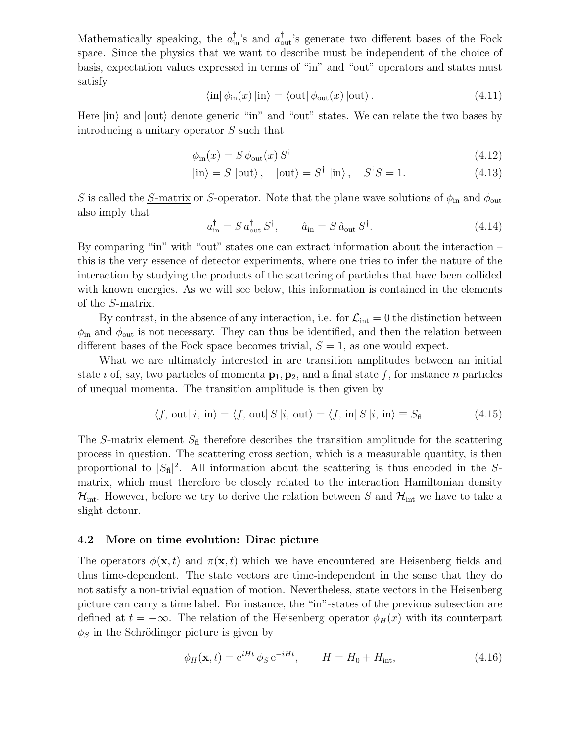Mathematically speaking, the  $a_{\text{in}}^{\dagger}$ 's and  $a_{\text{out}}^{\dagger}$ 's generate two different bases of the Fock space. Since the physics that we want to describe must be independent of the choice of basis, expectation values expressed in terms of "in" and "out" operators and states must satisfy

$$
\langle \text{in} | \phi_{\text{in}}(x) | \text{in} \rangle = \langle \text{out} | \phi_{\text{out}}(x) | \text{out} \rangle. \tag{4.11}
$$

Here  $|in\rangle$  and  $|out\rangle$  denote generic "in" and "out" states. We can relate the two bases by introducing a unitary operator S such that

$$
\phi_{\rm in}(x) = S \phi_{\rm out}(x) S^{\dagger} \tag{4.12}
$$

$$
|\text{in}\rangle = S |\text{out}\rangle, \quad |\text{out}\rangle = S^{\dagger} |\text{in}\rangle, \quad S^{\dagger} S = 1. \tag{4.13}
$$

S is called the <u>S-matrix</u> or S-operator. Note that the plane wave solutions of  $\phi_{\rm in}$  and  $\phi_{\rm out}$ also imply that

$$
a_{\rm in}^{\dagger} = S a_{\rm out}^{\dagger} S^{\dagger}, \qquad \hat{a}_{\rm in} = S \,\hat{a}_{\rm out} \, S^{\dagger}.
$$

By comparing "in" with "out" states one can extract information about the interaction – this is the very essence of detector experiments, where one tries to infer the nature of the interaction by studying the products of the scattering of particles that have been collided with known energies. As we will see below, this information is contained in the elements of the S-matrix.

By contrast, in the absence of any interaction, i.e. for  $\mathcal{L}_{int} = 0$  the distinction between  $\phi_{\rm in}$  and  $\phi_{\rm out}$  is not necessary. They can thus be identified, and then the relation between different bases of the Fock space becomes trivial,  $S = 1$ , as one would expect.

What we are ultimately interested in are transition amplitudes between an initial state i of, say, two particles of momenta  $\mathbf{p}_1, \mathbf{p}_2$ , and a final state f, for instance n particles of unequal momenta. The transition amplitude is then given by

$$
\langle f, \text{ out} | i, \text{ in} \rangle = \langle f, \text{ out} | S | i, \text{ out} \rangle = \langle f, \text{ in} | S | i, \text{ in} \rangle \equiv S_{\text{fi}}.
$$
 (4.15)

The S-matrix element  $S_f$  therefore describes the transition amplitude for the scattering process in question. The scattering cross section, which is a measurable quantity, is then proportional to  $|S_{\rm fi}|^2$ . All information about the scattering is thus encoded in the Smatrix, which must therefore be closely related to the interaction Hamiltonian density  $\mathcal{H}_{\text{int}}$ . However, before we try to derive the relation between S and  $\mathcal{H}_{\text{int}}$  we have to take a slight detour.

### **4.2 More on time evolution: Dirac picture**

The operators  $\phi(\mathbf{x}, t)$  and  $\pi(\mathbf{x}, t)$  which we have encountered are Heisenberg fields and thus time-dependent. The state vectors are time-independent in the sense that they do not satisfy a non-trivial equation of motion. Nevertheless, state vectors in the Heisenberg picture can carry a time label. For instance, the "in"-states of the previous subsection are defined at  $t = -\infty$ . The relation of the Heisenberg operator  $\phi_H(x)$  with its counterpart  $\phi_S$  in the Schrödinger picture is given by

$$
\phi_H(\mathbf{x}, t) = e^{iHt} \phi_S e^{-iHt}, \qquad H = H_0 + H_{\text{int}},
$$
\n(4.16)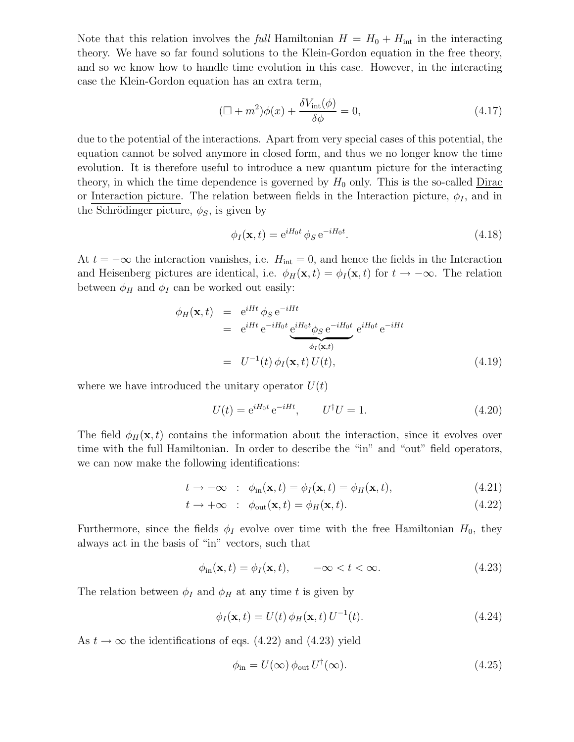Note that this relation involves the *full* Hamiltonian  $H = H_0 + H_{int}$  in the interacting theory. We have so far found solutions to the Klein-Gordon equation in the free theory, and so we know how to handle time evolution in this case. However, in the interacting case the Klein-Gordon equation has an extra term,

$$
(\Box + m^2)\phi(x) + \frac{\delta V_{\text{int}}(\phi)}{\delta \phi} = 0,
$$
\n(4.17)

due to the potential of the interactions. Apart from very special cases of this potential, the equation cannot be solved anymore in closed form, and thus we no longer know the time evolution. It is therefore useful to introduce a new quantum picture for the interacting theory, in which the time dependence is governed by  $H_0$  only. This is the so-called  $Dirac$ or Interaction picture. The relation between fields in the Interaction picture,  $\phi_I$ , and in the Schrödinger picture,  $\phi_S$ , is given by

$$
\phi_I(\mathbf{x},t) = e^{iH_0t} \phi_S e^{-iH_0t}.
$$
\n(4.18)

At  $t = -\infty$  the interaction vanishes, i.e.  $H_{int} = 0$ , and hence the fields in the Interaction and Heisenberg pictures are identical, i.e.  $\phi_H(\mathbf{x}, t) = \phi_I(\mathbf{x}, t)$  for  $t \to -\infty$ . The relation between  $\phi_H$  and  $\phi_I$  can be worked out easily:

$$
\phi_H(\mathbf{x}, t) = e^{iHt} \phi_S e^{-iHt}
$$
\n
$$
= e^{iHt} e^{-iH_0t} \underbrace{e^{iH_0t} \phi_S e^{-iH_0t}}_{\phi_I(\mathbf{x}, t)} e^{iH_0t} e^{-iHt}
$$
\n
$$
= U^{-1}(t) \phi_I(\mathbf{x}, t) U(t), \qquad (4.19)
$$

where we have introduced the unitary operator  $U(t)$ 

$$
U(t) = e^{iH_0t} e^{-iHt}, \qquad U^{\dagger} U = 1. \tag{4.20}
$$

The field  $\phi_H(\mathbf{x}, t)$  contains the information about the interaction, since it evolves over time with the full Hamiltonian. In order to describe the "in" and "out" field operators, we can now make the following identifications:

$$
t \to -\infty \quad : \quad \phi_{\text{in}}(\mathbf{x}, t) = \phi_I(\mathbf{x}, t) = \phi_H(\mathbf{x}, t), \tag{4.21}
$$

$$
t \to +\infty \quad : \quad \phi_{\text{out}}(\mathbf{x}, t) = \phi_H(\mathbf{x}, t). \tag{4.22}
$$

Furthermore, since the fields  $\phi_I$  evolve over time with the free Hamiltonian  $H_0$ , they always act in the basis of "in" vectors, such that

$$
\phi_{\rm in}(\mathbf{x},t) = \phi_I(\mathbf{x},t), \qquad -\infty < t < \infty. \tag{4.23}
$$

The relation between  $\phi_I$  and  $\phi_H$  at any time t is given by

$$
\phi_I(\mathbf{x},t) = U(t)\,\phi_H(\mathbf{x},t)\,U^{-1}(t). \tag{4.24}
$$

As  $t \to \infty$  the identifications of eqs. (4.22) and (4.23) yield

$$
\phi_{\rm in} = U(\infty) \, \phi_{\rm out} \, U^{\dagger}(\infty). \tag{4.25}
$$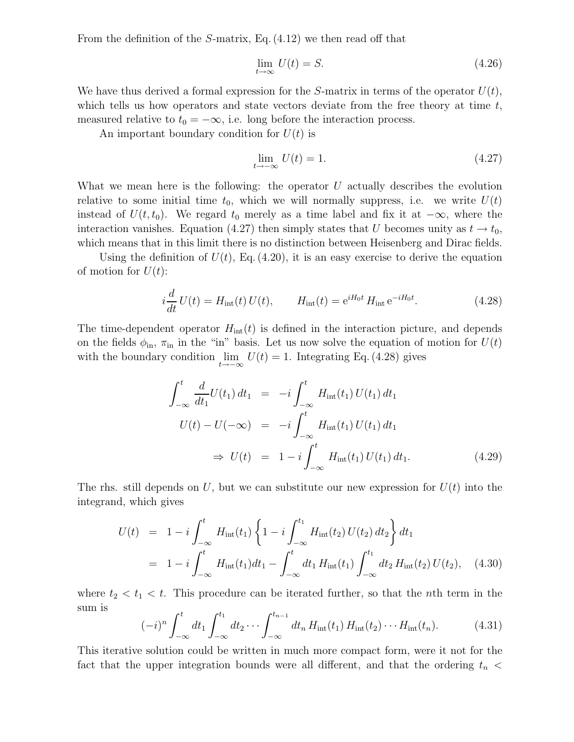From the definition of the S-matrix, Eq. (4.12) we then read off that

$$
\lim_{t \to \infty} U(t) = S. \tag{4.26}
$$

We have thus derived a formal expression for the S-matrix in terms of the operator  $U(t)$ , which tells us how operators and state vectors deviate from the free theory at time  $t$ , measured relative to  $t_0 = -\infty$ , i.e. long before the interaction process.

An important boundary condition for  $U(t)$  is

$$
\lim_{t \to -\infty} U(t) = 1. \tag{4.27}
$$

What we mean here is the following: the operator  $U$  actually describes the evolution relative to some initial time  $t_0$ , which we will normally suppress, i.e. we write  $U(t)$ instead of  $U(t, t_0)$ . We regard  $t_0$  merely as a time label and fix it at  $-\infty$ , where the interaction vanishes. Equation (4.27) then simply states that U becomes unity as  $t \to t_0$ , which means that in this limit there is no distinction between Heisenberg and Dirac fields.

Using the definition of  $U(t)$ , Eq. (4.20), it is an easy exercise to derive the equation of motion for  $U(t)$ :

$$
i\frac{d}{dt}U(t) = H_{\rm int}(t)U(t), \qquad H_{\rm int}(t) = e^{iH_0t} H_{\rm int} e^{-iH_0t}.
$$
 (4.28)

The time-dependent operator  $H_{\text{int}}(t)$  is defined in the interaction picture, and depends on the fields  $\phi_{\rm in}$ ,  $\pi_{\rm in}$  in the "in" basis. Let us now solve the equation of motion for  $U(t)$ with the boundary condition  $\lim_{t\to-\infty} U(t) = 1$ . Integrating Eq. (4.28) gives

$$
\int_{-\infty}^{t} \frac{d}{dt_{1}} U(t_{1}) dt_{1} = -i \int_{-\infty}^{t} H_{int}(t_{1}) U(t_{1}) dt_{1}
$$
\n
$$
U(t) - U(-\infty) = -i \int_{-\infty}^{t} H_{int}(t_{1}) U(t_{1}) dt_{1}
$$
\n
$$
\Rightarrow U(t) = 1 - i \int_{-\infty}^{t} H_{int}(t_{1}) U(t_{1}) dt_{1}.
$$
\n(4.29)

The rhs. still depends on U, but we can substitute our new expression for  $U(t)$  into the integrand, which gives

$$
U(t) = 1 - i \int_{-\infty}^{t} H_{int}(t_1) \left\{ 1 - i \int_{-\infty}^{t_1} H_{int}(t_2) U(t_2) dt_2 \right\} dt_1
$$
  
= 1 - i  $\int_{-\infty}^{t} H_{int}(t_1) dt_1 - \int_{-\infty}^{t} dt_1 H_{int}(t_1) \int_{-\infty}^{t_1} dt_2 H_{int}(t_2) U(t_2), \quad (4.30)$ 

where  $t_2 < t_1 < t$ . This procedure can be iterated further, so that the *n*th term in the sum is

$$
(-i)^{n} \int_{-\infty}^{t} dt_{1} \int_{-\infty}^{t_{1}} dt_{2} \cdots \int_{-\infty}^{t_{n-1}} dt_{n} H_{\text{int}}(t_{1}) H_{\text{int}}(t_{2}) \cdots H_{\text{int}}(t_{n}). \tag{4.31}
$$

This iterative solution could be written in much more compact form, were it not for the fact that the upper integration bounds were all different, and that the ordering  $t_n$  <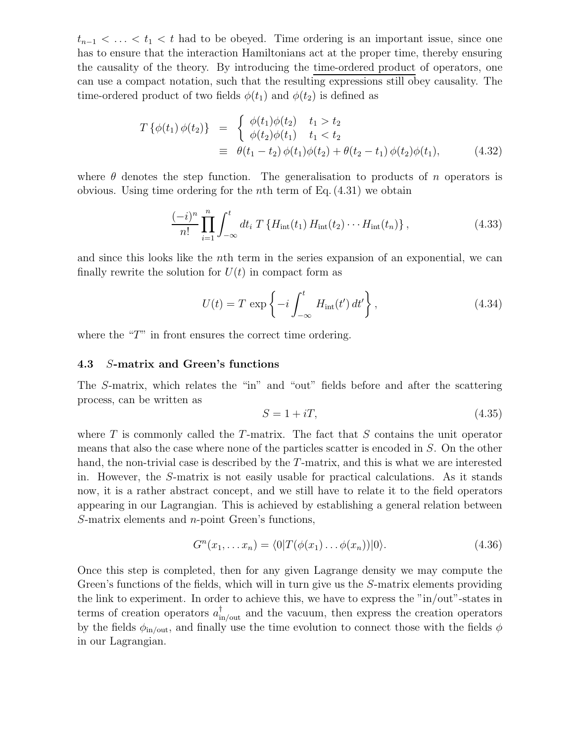$t_{n-1}$  < ... < t<sub>1</sub> < t had to be obeyed. Time ordering is an important issue, since one has to ensure that the interaction Hamiltonians act at the proper time, thereby ensuring the causality of the theory. By introducing the time-ordered product of operators, one can use a compact notation, such that the resulting expressions still obey causality. The time-ordered product of two fields  $\phi(t_1)$  and  $\phi(t_2)$  is defined as

$$
T\{\phi(t_1)\,\phi(t_2)\} = \begin{cases} \phi(t_1)\phi(t_2) & t_1 > t_2 \\ \phi(t_2)\phi(t_1) & t_1 < t_2 \end{cases}
$$
  

$$
\equiv \theta(t_1 - t_2)\,\phi(t_1)\phi(t_2) + \theta(t_2 - t_1)\,\phi(t_2)\phi(t_1), \tag{4.32}
$$

where  $\theta$  denotes the step function. The generalisation to products of n operators is obvious. Using time ordering for the *n*th term of Eq.  $(4.31)$  we obtain

$$
\frac{(-i)^n}{n!} \prod_{i=1}^n \int_{-\infty}^t dt_i \ T\{H_{\rm int}(t_1) H_{\rm int}(t_2) \cdots H_{\rm int}(t_n)\},\tag{4.33}
$$

and since this looks like the nth term in the series expansion of an exponential, we can finally rewrite the solution for  $U(t)$  in compact form as

$$
U(t) = T \exp\left\{-i \int_{-\infty}^{t} H_{\text{int}}(t') dt'\right\},\qquad(4.34)
$$

where the "T" in front ensures the correct time ordering.

#### **4.3** S**-matrix and Green's functions**

The S-matrix, which relates the "in" and "out" fields before and after the scattering process, can be written as

$$
S = 1 + iT,\tag{4.35}
$$

where  $T$  is commonly called the  $T$ -matrix. The fact that  $S$  contains the unit operator means that also the case where none of the particles scatter is encoded in S. On the other hand, the non-trivial case is described by the T-matrix, and this is what we are interested in. However, the S-matrix is not easily usable for practical calculations. As it stands now, it is a rather abstract concept, and we still have to relate it to the field operators appearing in our Lagrangian. This is achieved by establishing a general relation between S-matrix elements and n-point Green's functions,

$$
G^{n}(x_1, \ldots x_n) = \langle 0|T(\phi(x_1) \ldots \phi(x_n))|0\rangle.
$$
\n(4.36)

Once this step is completed, then for any given Lagrange density we may compute the Green's functions of the fields, which will in turn give us the S-matrix elements providing the link to experiment. In order to achieve this, we have to express the "in/out"-states in terms of creation operators  $a_{\text{in/out}}^{\dagger}$  and the vacuum, then express the creation operators by the fields  $\phi_{\text{in/out}}$ , and finally use the time evolution to connect those with the fields  $\phi$ in our Lagrangian.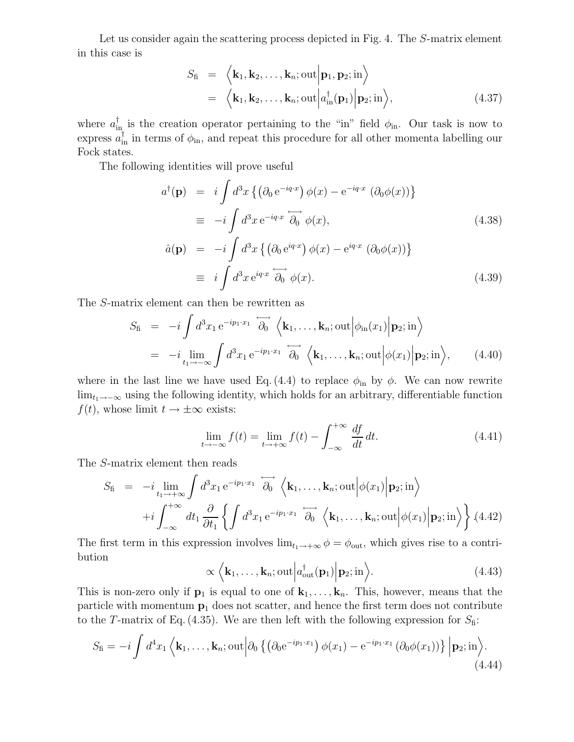Let us consider again the scattering process depicted in Fig. 4. The S-matrix element in this case is

$$
S_{\text{fi}} = \langle \mathbf{k}_1, \mathbf{k}_2, \dots, \mathbf{k}_n; \text{out} | \mathbf{p}_1, \mathbf{p}_2; \text{in} \rangle
$$
  
=  $\langle \mathbf{k}_1, \mathbf{k}_2, \dots, \mathbf{k}_n; \text{out} | a_{\text{in}}^{\dagger}(\mathbf{p}_1) | \mathbf{p}_2; \text{in} \rangle,$  (4.37)

where  $a_{\text{in}}^{\dagger}$  is the creation operator pertaining to the "in" field  $\phi_{\text{in}}$ . Our task is now to express  $a_{\text{in}}^{\dagger}$  in terms of  $\phi_{\text{in}}$ , and repeat this procedure for all other momenta labelling our Fock states.

The following identities will prove useful

$$
a^{\dagger}(\mathbf{p}) = i \int d^3x \left\{ \left( \partial_0 e^{-iq \cdot x} \right) \phi(x) - e^{-iq \cdot x} \left( \partial_0 \phi(x) \right) \right\}
$$
  
\n
$$
\equiv -i \int d^3x e^{-iq \cdot x} \overleftrightarrow{\partial_0} \phi(x),
$$
  
\n
$$
\hat{a}(\mathbf{p}) = -i \int d^3x \left\{ \left( \partial_0 e^{iq \cdot x} \right) \phi(x) - e^{iq \cdot x} \left( \partial_0 \phi(x) \right) \right\}
$$
  
\n
$$
\equiv i \int d^3x e^{iq \cdot x} \overleftrightarrow{\partial_0} \phi(x).
$$
\n(4.39)

The S-matrix element can then be rewritten as

$$
S_{\text{fi}} = -i \int d^3 x_1 e^{-ip_1 \cdot x_1} \overrightarrow{\partial_0} \left\langle \mathbf{k}_1, \dots, \mathbf{k}_n; \text{out} \middle| \phi_{\text{in}}(x_1) \middle| \mathbf{p}_2; \text{in} \right\rangle
$$
  
=  $-i \lim_{t_1 \to -\infty} \int d^3 x_1 e^{-ip_1 \cdot x_1} \overrightarrow{\partial_0} \left\langle \mathbf{k}_1, \dots, \mathbf{k}_n; \text{out} \middle| \phi(x_1) \middle| \mathbf{p}_2; \text{in} \right\rangle$ , (4.40)

where in the last line we have used Eq. (4.4) to replace  $\phi_{\rm in}$  by  $\phi$ . We can now rewrite  $\lim_{t_1\to-\infty}$  using the following identity, which holds for an arbitrary, differentiable function  $f(t)$ , whose limit  $t \to \pm \infty$  exists:

$$
\lim_{t \to -\infty} f(t) = \lim_{t \to +\infty} f(t) - \int_{-\infty}^{+\infty} \frac{df}{dt} dt.
$$
\n(4.41)

The S-matrix element then reads

$$
S_{\text{fi}} = -i \lim_{t_1 \to +\infty} \int d^3 x_1 e^{-ip_1 \cdot x_1} \overrightarrow{\partial_0} \langle \mathbf{k}_1, \dots, \mathbf{k}_n; \text{out} | \phi(x_1) | \mathbf{p}_2; \text{in} \rangle +i \int_{-\infty}^{+\infty} dt_1 \frac{\partial}{\partial t_1} \left\{ \int d^3 x_1 e^{-ip_1 \cdot x_1} \overrightarrow{\partial_0} \langle \mathbf{k}_1, \dots, \mathbf{k}_n; \text{out} | \phi(x_1) | \mathbf{p}_2; \text{in} \rangle \right\} (4.42)
$$

The first term in this expression involves  $\lim_{t_1\to+\infty}\phi=\phi_{\text{out}}$ , which gives rise to a contribution

$$
\propto \langle \mathbf{k}_1, \dots, \mathbf{k}_n; \text{out} | a_{\text{out}}^{\dagger}(\mathbf{p}_1) | \mathbf{p}_2; \text{in} \rangle.
$$
 (4.43)

This is non-zero only if  $\mathbf{p}_1$  is equal to one of  $\mathbf{k}_1,\ldots,\mathbf{k}_n$ . This, however, means that the particle with momentum **p**<sup>1</sup> does not scatter, and hence the first term does not contribute to the T-matrix of Eq. (4.35). We are then left with the following expression for  $S<sub>f</sub>$ :

$$
S_{\text{fi}} = -i \int d^4x_1 \left\langle \mathbf{k}_1, \dots, \mathbf{k}_n; \text{out} \middle| \partial_0 \left\{ \left( \partial_0 e^{-ip_1 \cdot x_1} \right) \phi(x_1) - e^{-ip_1 \cdot x_1} \left( \partial_0 \phi(x_1) \right) \right\} \middle| \mathbf{p}_2; \text{in} \right\rangle. \tag{4.44}
$$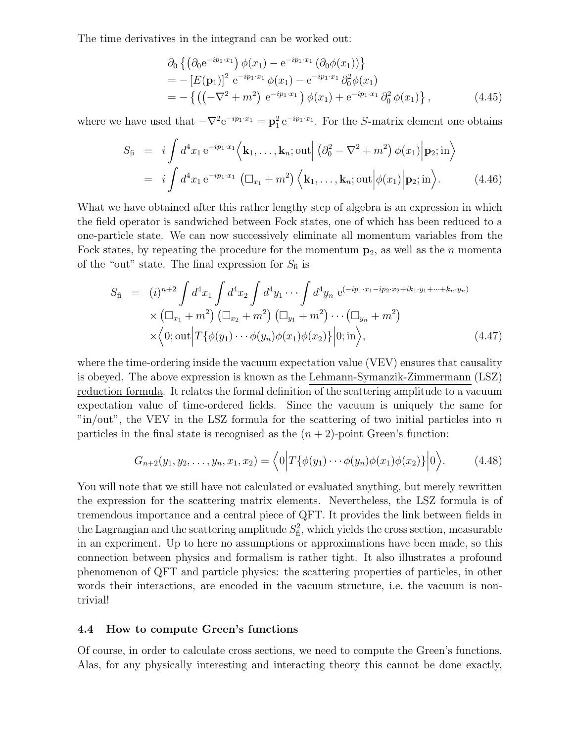The time derivatives in the integrand can be worked out:

$$
\partial_0 \left\{ \left( \partial_0 e^{-ip_1 \cdot x_1} \right) \phi(x_1) - e^{-ip_1 \cdot x_1} \left( \partial_0 \phi(x_1) \right) \right\} \n= - \left[ E(\mathbf{p}_1) \right]^2 e^{-ip_1 \cdot x_1} \phi(x_1) - e^{-ip_1 \cdot x_1} \partial_0^2 \phi(x_1) \n= - \left\{ \left( \left( -\nabla^2 + m^2 \right) e^{-ip_1 \cdot x_1} \right) \phi(x_1) + e^{-ip_1 \cdot x_1} \partial_0^2 \phi(x_1) \right\},
$$
\n(4.45)

where we have used that  $-\nabla^2 e^{-ip_1 \cdot x_1} = \mathbf{p}_1^2 e^{-ip_1 \cdot x_1}$ . For the S-matrix element one obtains

$$
S_{\text{fi}} = i \int d^4 x_1 e^{-ip_1 \cdot x_1} \left\langle \mathbf{k}_1, \dots, \mathbf{k}_n; \text{out} \right| \left( \partial_0^2 - \nabla^2 + m^2 \right) \phi(x_1) \Big| \mathbf{p}_2; \text{in} \right\rangle
$$
  
=  $i \int d^4 x_1 e^{-ip_1 \cdot x_1} \left( \Box_{x_1} + m^2 \right) \left\langle \mathbf{k}_1, \dots, \mathbf{k}_n; \text{out} \Big| \phi(x_1) \Big| \mathbf{p}_2; \text{in} \right\rangle.$  (4.46)

What we have obtained after this rather lengthy step of algebra is an expression in which the field operator is sandwiched between Fock states, one of which has been reduced to a one-particle state. We can now successively eliminate all momentum variables from the Fock states, by repeating the procedure for the momentum  $p_2$ , as well as the *n* momenta of the "out" state. The final expression for  $S_\mathrm{fi}$  is

$$
S_{\rm fi} = (i)^{n+2} \int d^4 x_1 \int d^4 x_2 \int d^4 y_1 \cdots \int d^4 y_n \ e^{(-ip_1 \cdot x_1 - ip_2 \cdot x_2 + ik_1 \cdot y_1 + \cdots + k_n \cdot y_n)} \times (\Box_{x_1} + m^2) (\Box_{x_2} + m^2) (\Box_{y_1} + m^2) \cdots (\Box_{y_n} + m^2) \times \langle 0; \text{out} \Big| T \{ \phi(y_1) \cdots \phi(y_n) \phi(x_1) \phi(x_2) \} \Big| 0; \text{in} \rangle, \tag{4.47}
$$

where the time-ordering inside the vacuum expectation value (VEV) ensures that causality is obeyed. The above expression is known as the Lehmann-Symanzik-Zimmermann (LSZ) reduction formula. It relates the formal definition of the scattering amplitude to a vacuum expectation value of time-ordered fields. Since the vacuum is uniquely the same for  $\lceil \text{in}/\text{out} \rceil$ , the VEV in the LSZ formula for the scattering of two initial particles into n particles in the final state is recognised as the  $(n + 2)$ -point Green's function:

$$
G_{n+2}(y_1, y_2, \dots, y_n, x_1, x_2) = \langle 0 | T \{ \phi(y_1) \cdots \phi(y_n) \phi(x_1) \phi(x_2) \} | 0 \rangle.
$$
 (4.48)

You will note that we still have not calculated or evaluated anything, but merely rewritten the expression for the scattering matrix elements. Nevertheless, the LSZ formula is of tremendous importance and a central piece of QFT. It provides the link between fields in the Lagrangian and the scattering amplitude  $S<sub>f</sub><sup>2</sup>$ , which yields the cross section, measurable in an experiment. Up to here no assumptions or approximations have been made, so this connection between physics and formalism is rather tight. It also illustrates a profound phenomenon of QFT and particle physics: the scattering properties of particles, in other words their interactions, are encoded in the vacuum structure, i.e. the vacuum is nontrivial!

#### **4.4 How to compute Green's functions**

Of course, in order to calculate cross sections, we need to compute the Green's functions. Alas, for any physically interesting and interacting theory this cannot be done exactly,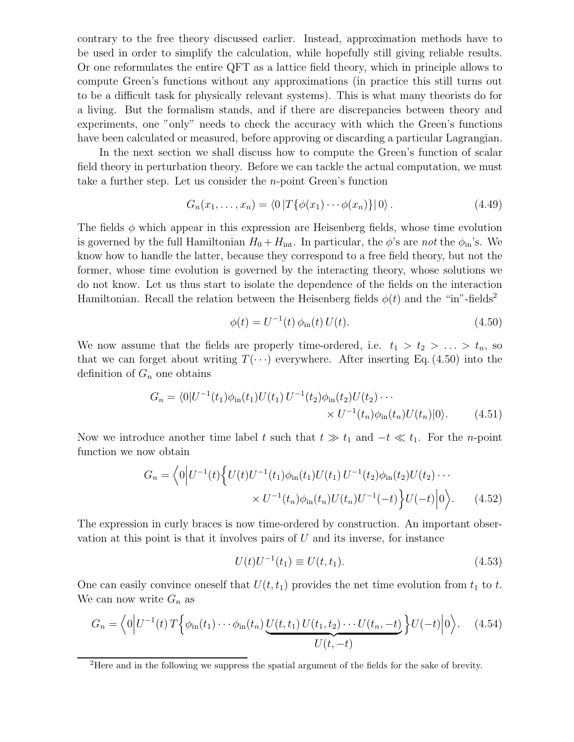contrary to the free theory discussed earlier. Instead, approximation methods have to be used in order to simplify the calculation, while hopefully still giving reliable results. Or one reformulates the entire QFT as a lattice field theory, which in principle allows to compute Green's functions without any approximations (in practice this still turns out to be a difficult task for physically relevant systems). This is what many theorists do for a living. But the formalism stands, and if there are discrepancies between theory and experiments, one "only" needs to check the accuracy with which the Green's functions have been calculated or measured, before approving or discarding a particular Lagrangian.

In the next section we shall discuss how to compute the Green's function of scalar field theory in perturbation theory. Before we can tackle the actual computation, we must take a further step. Let us consider the n-point Green's function

$$
G_n(x_1,...,x_n) = \langle 0 | T\{\phi(x_1)\cdots\phi(x_n)\} | 0 \rangle.
$$
 (4.49)

The fields  $\phi$  which appear in this expression are Heisenberg fields, whose time evolution is governed by the full Hamiltonian  $H_0 + H_{int}$ . In particular, the  $\phi$ 's are *not* the  $\phi_{in}$ 's. We know how to handle the latter, because they correspond to a free field theory, but not the former, whose time evolution is governed by the interacting theory, whose solutions we do not know. Let us thus start to isolate the dependence of the fields on the interaction Hamiltonian. Recall the relation between the Heisenberg fields  $\phi(t)$  and the "in"-fields<sup>2</sup>

$$
\phi(t) = U^{-1}(t)\,\phi_{\rm in}(t)\,U(t). \tag{4.50}
$$

We now assume that the fields are properly time-ordered, i.e.  $t_1 > t_2 > \ldots > t_n$ , so that we can forget about writing  $T(\cdot\cdot\cdot)$  everywhere. After inserting Eq. (4.50) into the definition of  $G_n$  one obtains

$$
G_n = \langle 0|U^{-1}(t_1)\phi_{\rm in}(t_1)U(t_1) U^{-1}(t_2)\phi_{\rm in}(t_2)U(t_2)\cdots
$$
  
 
$$
\times U^{-1}(t_n)\phi_{\rm in}(t_n)U(t_n)|0\rangle.
$$
 (4.51)

Now we introduce another time label t such that  $t \gg t_1$  and  $-t \ll t_1$ . For the n-point function we now obtain

$$
G_n = \left\langle 0 \Big| U^{-1}(t) \Big\{ U(t) U^{-1}(t_1) \phi_{\rm in}(t_1) U(t_1) U^{-1}(t_2) \phi_{\rm in}(t_2) U(t_2) \cdots \right. \\ \left. \times U^{-1}(t_n) \phi_{\rm in}(t_n) U(t_n) U^{-1}(-t) \Big\} U(-t) \Big| 0 \right\rangle. \tag{4.52}
$$

The expression in curly braces is now time-ordered by construction. An important observation at this point is that it involves pairs of  $U$  and its inverse, for instance

$$
U(t)U^{-1}(t_1) \equiv U(t, t_1). \tag{4.53}
$$

One can easily convince oneself that  $U(t, t_1)$  provides the net time evolution from  $t_1$  to  $t$ . We can now write  $G_n$  as

$$
G_n = \left\langle 0 \Big| U^{-1}(t) T \Big\{ \phi_{\text{in}}(t_1) \cdots \phi_{\text{in}}(t_n) \underbrace{U(t, t_1) U(t_1, t_2) \cdots U(t_n, -t)}}_{U(t, -t)} \Big\} U(-t) \Big| 0 \right\rangle. \tag{4.54}
$$

<sup>&</sup>lt;sup>2</sup>Here and in the following we suppress the spatial argument of the fields for the sake of brevity.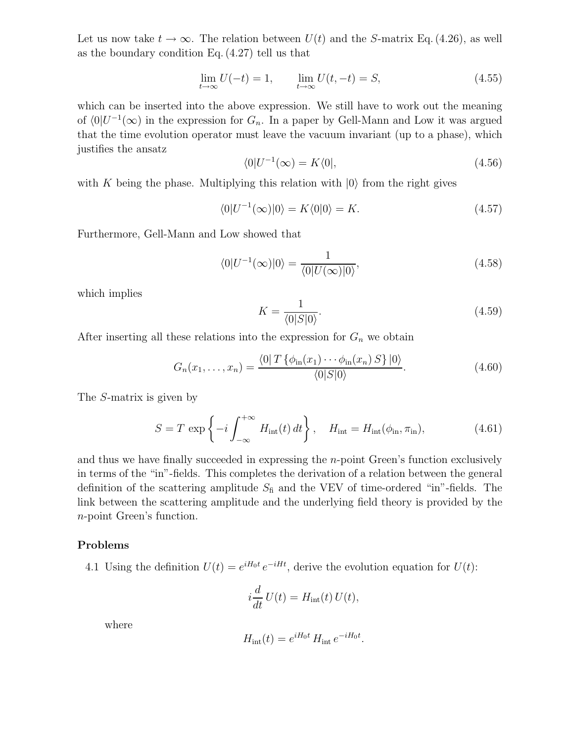Let us now take  $t \to \infty$ . The relation between  $U(t)$  and the S-matrix Eq. (4.26), as well as the boundary condition Eq. (4.27) tell us that

$$
\lim_{t \to \infty} U(-t) = 1, \qquad \lim_{t \to \infty} U(t, -t) = S,\tag{4.55}
$$

which can be inserted into the above expression. We still have to work out the meaning of  $\langle 0|U^{-1}(\infty)$  in the expression for  $G_n$ . In a paper by Gell-Mann and Low it was argued that the time evolution operator must leave the vacuum invariant (up to a phase), which justifies the ansatz

$$
\langle 0|U^{-1}(\infty) = K\langle 0|,\tag{4.56}
$$

with K being the phase. Multiplying this relation with  $|0\rangle$  from the right gives

$$
\langle 0|U^{-1}(\infty)|0\rangle = K\langle 0|0\rangle = K.
$$
\n(4.57)

Furthermore, Gell-Mann and Low showed that

$$
\langle 0|U^{-1}(\infty)|0\rangle = \frac{1}{\langle 0|U(\infty)|0\rangle},\tag{4.58}
$$

which implies

$$
K = \frac{1}{\langle 0|S|0\rangle}.\tag{4.59}
$$

After inserting all these relations into the expression for  $G_n$  we obtain

$$
G_n(x_1,\ldots,x_n) = \frac{\langle 0| \, T\left\{\phi_{\text{in}}(x_1)\cdots\phi_{\text{in}}(x_n) \, S\right\} |0\rangle}{\langle 0|S|0\rangle}.\tag{4.60}
$$

The S-matrix is given by

$$
S = T \exp\left\{-i \int_{-\infty}^{+\infty} H_{\rm int}(t) dt\right\}, \quad H_{\rm int} = H_{\rm int}(\phi_{\rm in}, \pi_{\rm in}), \tag{4.61}
$$

and thus we have finally succeeded in expressing the  $n$ -point Green's function exclusively in terms of the "in"-fields. This completes the derivation of a relation between the general definition of the scattering amplitude  $S<sub>f</sub>$  and the VEV of time-ordered "in"-fields. The link between the scattering amplitude and the underlying field theory is provided by the n-point Green's function.

### **Problems**

4.1 Using the definition  $U(t) = e^{iH_0t} e^{-iHt}$ , derive the evolution equation for  $U(t)$ :

$$
i\frac{d}{dt}U(t) = H_{\rm int}(t)U(t),
$$

where

$$
H_{\rm int}(t) = e^{iH_0t} H_{\rm int} e^{-iH_0t}.
$$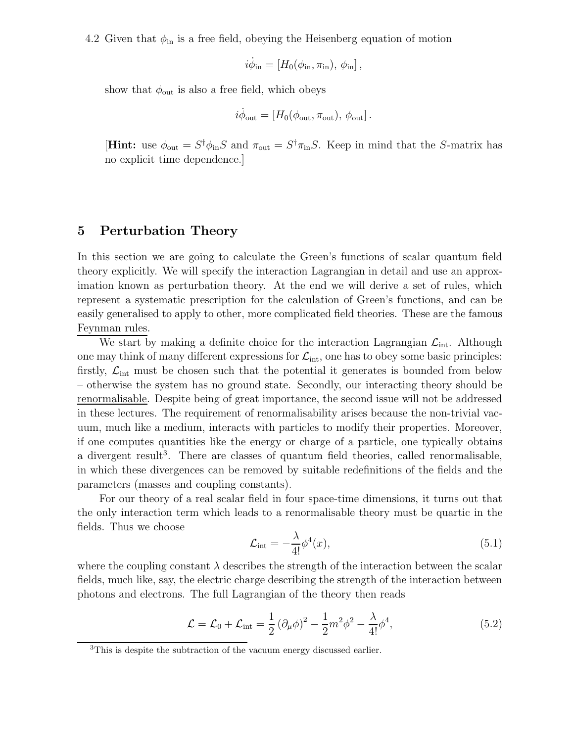4.2 Given that  $\phi_{\text{in}}$  is a free field, obeying the Heisenberg equation of motion

$$
i\dot{\phi}_{\rm in}=[H_0(\phi_{\rm in},\pi_{\rm in}),\,\phi_{\rm in}],
$$

show that  $\phi_{\text{out}}$  is also a free field, which obeys

$$
i\dot{\phi}_{\rm out} = [H_0(\phi_{\rm out}, \pi_{\rm out}), \phi_{\rm out}].
$$

**[Hint:** use  $\phi_{\text{out}} = S^{\dagger} \phi_{\text{in}} S$  and  $\pi_{\text{out}} = S^{\dagger} \pi_{\text{in}} S$ . Keep in mind that the S-matrix has no explicit time dependence.]

## **5 Perturbation Theory**

In this section we are going to calculate the Green's functions of scalar quantum field theory explicitly. We will specify the interaction Lagrangian in detail and use an approximation known as perturbation theory. At the end we will derive a set of rules, which represent a systematic prescription for the calculation of Green's functions, and can be easily generalised to apply to other, more complicated field theories. These are the famous Feynman rules.

We start by making a definite choice for the interaction Lagrangian  $\mathcal{L}_{int}$ . Although one may think of many different expressions for  $\mathcal{L}_{\text{int}}$ , one has to obey some basic principles: firstly,  $\mathcal{L}_{\text{int}}$  must be chosen such that the potential it generates is bounded from below – otherwise the system has no ground state. Secondly, our interacting theory should be renormalisable. Despite being of great importance, the second issue will not be addressed in these lectures. The requirement of renormalisability arises because the non-trivial vacuum, much like a medium, interacts with particles to modify their properties. Moreover, if one computes quantities like the energy or charge of a particle, one typically obtains a divergent result<sup>3</sup>. There are classes of quantum field theories, called renormalisable, in which these divergences can be removed by suitable redefinitions of the fields and the parameters (masses and coupling constants).

For our theory of a real scalar field in four space-time dimensions, it turns out that the only interaction term which leads to a renormalisable theory must be quartic in the fields. Thus we choose

$$
\mathcal{L}_{\text{int}} = -\frac{\lambda}{4!} \phi^4(x),\tag{5.1}
$$

where the coupling constant  $\lambda$  describes the strength of the interaction between the scalar fields, much like, say, the electric charge describing the strength of the interaction between photons and electrons. The full Lagrangian of the theory then reads

$$
\mathcal{L} = \mathcal{L}_0 + \mathcal{L}_{\text{int}} = \frac{1}{2} (\partial_\mu \phi)^2 - \frac{1}{2} m^2 \phi^2 - \frac{\lambda}{4!} \phi^4,\tag{5.2}
$$

<sup>&</sup>lt;sup>3</sup>This is despite the subtraction of the vacuum energy discussed earlier.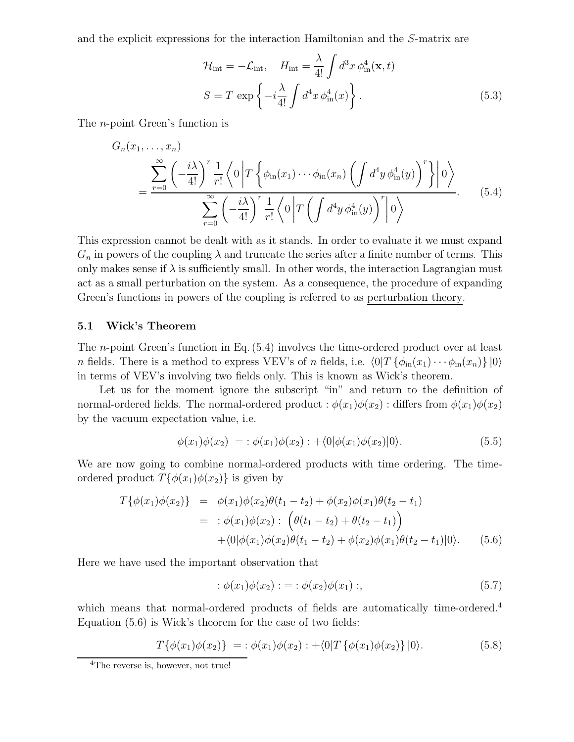and the explicit expressions for the interaction Hamiltonian and the S-matrix are

$$
\mathcal{H}_{int} = -\mathcal{L}_{int}, \quad H_{int} = \frac{\lambda}{4!} \int d^3x \, \phi_{in}^4(\mathbf{x}, t)
$$

$$
S = T \exp\left\{-i\frac{\lambda}{4!} \int d^4x \, \phi_{in}^4(x)\right\}.
$$
(5.3)

The n-point Green's function is

$$
G_n(x_1, \ldots, x_n)
$$
  
= 
$$
\frac{\sum_{r=0}^{\infty} \left( -\frac{i\lambda}{4!} \right)^r \frac{1}{r!} \left\langle 0 \left| T \left\{ \phi_{\text{in}}(x_1) \cdots \phi_{\text{in}}(x_n) \left( \int d^4 y \, \phi_{\text{in}}^4(y) \right)^r \right\} \right| 0 \right\rangle}{\sum_{r=0}^{\infty} \left( -\frac{i\lambda}{4!} \right)^r \frac{1}{r!} \left\langle 0 \left| T \left( \int d^4 y \, \phi_{\text{in}}^4(y) \right)^r \right| 0 \right\rangle}.
$$
 (5.4)

This expression cannot be dealt with as it stands. In order to evaluate it we must expand  $G_n$  in powers of the coupling  $\lambda$  and truncate the series after a finite number of terms. This only makes sense if  $\lambda$  is sufficiently small. In other words, the interaction Lagrangian must act as a small perturbation on the system. As a consequence, the procedure of expanding Green's functions in powers of the coupling is referred to as perturbation theory.

### **5.1 Wick's Theorem**

The n-point Green's function in Eq. (5.4) involves the time-ordered product over at least n fields. There is a method to express VEV's of n fields, i.e.  $\langle 0|T \{\phi_{\rm in}(x_1)\cdots\phi_{\rm in}(x_n)\}\,|0\rangle$ in terms of VEV's involving two fields only. This is known as Wick's theorem.

Let us for the moment ignore the subscript "in" and return to the definition of normal-ordered fields. The normal-ordered product :  $\phi(x_1)\phi(x_2)$  : differs from  $\phi(x_1)\phi(x_2)$ by the vacuum expectation value, i.e.

$$
\phi(x_1)\phi(x_2) = \phi(x_1)\phi(x_2) : + \langle 0|\phi(x_1)\phi(x_2)|0 \rangle. \tag{5.5}
$$

We are now going to combine normal-ordered products with time ordering. The timeordered product  $T\{\phi(x_1)\phi(x_2)\}\)$  is given by

$$
T\{\phi(x_1)\phi(x_2)\} = \phi(x_1)\phi(x_2)\theta(t_1 - t_2) + \phi(x_2)\phi(x_1)\theta(t_2 - t_1)
$$
  
= 
$$
\phi(x_1)\phi(x_2): \left(\theta(t_1 - t_2) + \theta(t_2 - t_1)\right)
$$
  
+ 
$$
\langle 0|\phi(x_1)\phi(x_2)\theta(t_1 - t_2) + \phi(x_2)\phi(x_1)\theta(t_2 - t_1)|0\rangle.
$$
 (5.6)

Here we have used the important observation that

$$
: \phi(x_1)\phi(x_2) : = : \phi(x_2)\phi(x_1) : , \tag{5.7}
$$

which means that normal-ordered products of fields are automatically time-ordered.<sup>4</sup> Equation (5.6) is Wick's theorem for the case of two fields:

$$
T\{\phi(x_1)\phi(x_2)\} = \phi(x_1)\phi(x_2) : + \langle 0|T\{\phi(x_1)\phi(x_2)\}|0\rangle.
$$
 (5.8)

<sup>&</sup>lt;sup>4</sup>The reverse is, however, not true!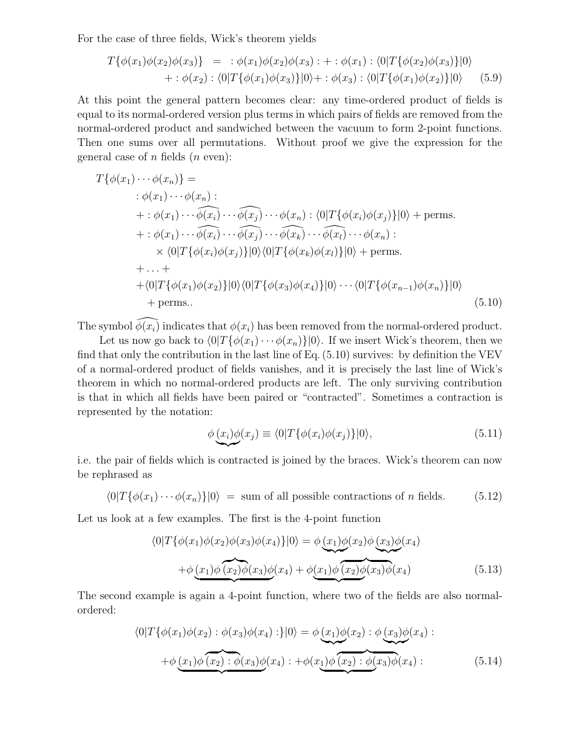For the case of three fields, Wick's theorem yields

$$
T\{\phi(x_1)\phi(x_2)\phi(x_3)\} = \div \phi(x_1)\phi(x_2)\phi(x_3) : + : \phi(x_1) : \langle 0|T\{\phi(x_2)\phi(x_3)\}|0\rangle
$$
  
 
$$
+ : \phi(x_2) : \langle 0|T\{\phi(x_1)\phi(x_3)\}|0\rangle + : \phi(x_3) : \langle 0|T\{\phi(x_1)\phi(x_2)\}|0\rangle \qquad (5.9)
$$

At this point the general pattern becomes clear: any time-ordered product of fields is equal to its normal-ordered version plus terms in which pairs of fields are removed from the normal-ordered product and sandwiched between the vacuum to form 2-point functions. Then one sums over all permutations. Without proof we give the expression for the general case of  $n$  fields  $(n \text{ even})$ :

$$
T\{\phi(x_1)\cdots\phi(x_n)\} =
$$
  
\n
$$
\phi(x_1)\cdots\phi(x_n):
$$
  
\n
$$
+:\phi(x_1)\cdots\widehat{\phi(x_i)}\cdots\widehat{\phi(x_j)}\cdots\phi(x_n): \langle 0|T\{\phi(x_i)\phi(x_j)\}|0\rangle + \text{perms.}
$$
  
\n
$$
+:\phi(x_1)\cdots\widehat{\phi(x_i)}\cdots\widehat{\phi(x_j)}\cdots\widehat{\phi(x_k)}\cdots\widehat{\phi(x_l)}\cdots\phi(x_n):
$$
  
\n
$$
\times \langle 0|T\{\phi(x_i)\phi(x_j)\}|0\rangle\langle 0|T\{\phi(x_k)\phi(x_l)\}|0\rangle + \text{perms.}
$$
  
\n
$$
+ \cdots +
$$
  
\n
$$
+ \langle 0|T\{\phi(x_1)\phi(x_2)\}|0\rangle\langle 0|T\{\phi(x_3)\phi(x_4)\}|0\rangle\cdots\langle 0|T\{\phi(x_{n-1})\phi(x_n)\}|0\rangle
$$
  
\n
$$
+ \text{perms.}
$$
  
\n(5.10)

The symbol  $\widehat{\phi(x_i)}$  indicates that  $\phi(x_i)$  has been removed from the normal-ordered product.

Let us now go back to  $\langle 0|T\{\phi(x_1)\cdots\phi(x_n)\}|0\rangle$ . If we insert Wick's theorem, then we find that only the contribution in the last line of Eq. (5.10) survives: by definition the VEV of a normal-ordered product of fields vanishes, and it is precisely the last line of Wick's theorem in which no normal-ordered products are left. The only surviving contribution is that in which all fields have been paired or "contracted". Sometimes a contraction is represented by the notation:

$$
\phi \left( \underline{x}_i \right) \phi(x_j) \equiv \langle 0 | T \{ \phi(x_i) \phi(x_j) \} | 0 \rangle, \tag{5.11}
$$

 $\overline{a}$ i.e. the pair of fields which is contracted is joined by the braces. Wick's theorem can now be rephrased as

 $\langle 0|T\{\phi(x_1)\cdots\phi(x_n)\}|0\rangle = \text{sum of all possible contractions of }n\text{ fields.}$  (5.12)

Let us look at a few examples. The first is the 4-point function

$$
\langle 0|T\{\phi(x_1)\phi(x_2)\phi(x_3)\phi(x_4)\}|0\rangle = \phi(x_1)\phi(x_2)\phi(x_3)\phi(x_4)
$$

$$
+\phi(x_1)\phi(x_2)\phi(x_3)\phi(x_4) + \phi(x_1)\phi(x_2)\phi(x_3)\phi(x_4)
$$
(5.13)

The second example is again a 4-point function, where two of the fields are also normalordered:

$$
\langle 0|T\{\phi(x_1)\phi(x_2) : \phi(x_3)\phi(x_4) : \} |0\rangle = \phi(\underline{x_1})\phi(x_2) : \phi(\underline{x_3})\phi(x_4) :
$$

$$
+ \phi(\underline{x_1})\phi(\overbrace{x_2) : \phi(x_3)\phi(x_4) : + \phi(\underline{x_1})\phi(\overbrace{x_2) : \phi(x_3)}\phi(x_4) :
$$
(5.14)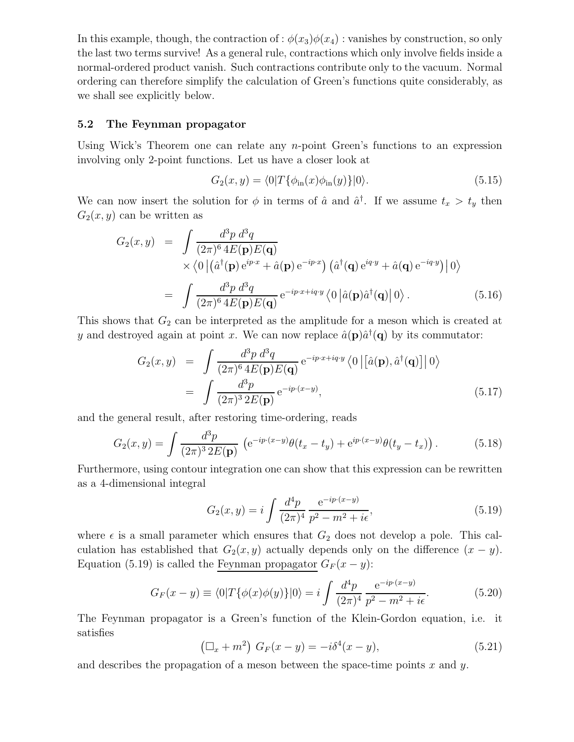In this example, though, the contraction of :  $\phi(x_3)\phi(x_4)$  : vanishes by construction, so only the last two terms survive! As a general rule, contractions which only involve fields inside a normal-ordered product vanish. Such contractions contribute only to the vacuum. Normal ordering can therefore simplify the calculation of Green's functions quite considerably, as we shall see explicitly below.

### **5.2 The Feynman propagator**

Using Wick's Theorem one can relate any  $n$ -point Green's functions to an expression involving only 2-point functions. Let us have a closer look at

$$
G_2(x,y) = \langle 0|T\{\phi_{\rm in}(x)\phi_{\rm in}(y)\}|0\rangle. \tag{5.15}
$$

We can now insert the solution for  $\phi$  in terms of  $\hat{a}$  and  $\hat{a}^{\dagger}$ . If we assume  $t_x > t_y$  then  $G_2(x, y)$  can be written as

$$
G_2(x,y) = \int \frac{d^3 p \, d^3 q}{(2\pi)^6 4E(\mathbf{p})E(\mathbf{q})}
$$
  
 
$$
\times \langle 0 | (\hat{a}^\dagger(\mathbf{p}) e^{ip \cdot x} + \hat{a}(\mathbf{p}) e^{-ip \cdot x}) (\hat{a}^\dagger(\mathbf{q}) e^{iq \cdot y} + \hat{a}(\mathbf{q}) e^{-iq \cdot y}) | 0 \rangle
$$
  
= 
$$
\int \frac{d^3 p \, d^3 q}{(2\pi)^6 4E(\mathbf{p})E(\mathbf{q})} e^{-ip \cdot x + iq \cdot y} \langle 0 | \hat{a}(\mathbf{p}) \hat{a}^\dagger(\mathbf{q}) | 0 \rangle.
$$
 (5.16)

This shows that  $G_2$  can be interpreted as the amplitude for a meson which is created at y and destroyed again at point x. We can now replace  $\hat{a}(\mathbf{p})\hat{a}^{\dagger}(\mathbf{q})$  by its commutator:

$$
G_2(x,y) = \int \frac{d^3 p \, d^3 q}{(2\pi)^6 4E(\mathbf{p})E(\mathbf{q})} e^{-ip \cdot x + iq \cdot y} \langle 0 | [\hat{a}(\mathbf{p}), \hat{a}^\dagger(\mathbf{q})] | 0 \rangle
$$
  
= 
$$
\int \frac{d^3 p}{(2\pi)^3 2E(\mathbf{p})} e^{-ip \cdot (x-y)}, \qquad (5.17)
$$

and the general result, after restoring time-ordering, reads

$$
G_2(x,y) = \int \frac{d^3p}{(2\pi)^3 2E(\mathbf{p})} \left( e^{-ip \cdot (x-y)} \theta(t_x - t_y) + e^{ip \cdot (x-y)} \theta(t_y - t_x) \right). \tag{5.18}
$$

Furthermore, using contour integration one can show that this expression can be rewritten as a 4-dimensional integral

$$
G_2(x,y) = i \int \frac{d^4 p}{(2\pi)^4} \frac{e^{-ip \cdot (x-y)}}{p^2 - m^2 + i\epsilon},
$$
\n(5.19)

where  $\epsilon$  is a small parameter which ensures that  $G_2$  does not develop a pole. This calculation has established that  $G_2(x, y)$  actually depends only on the difference  $(x - y)$ . Equation (5.19) is called the Feynman propagator  $G_F(x-y)$ :

$$
G_F(x - y) \equiv \langle 0|T\{\phi(x)\phi(y)\}|0\rangle = i \int \frac{d^4p}{(2\pi)^4} \frac{e^{-ip \cdot (x - y)}}{p^2 - m^2 + i\epsilon}.
$$
 (5.20)

The Feynman propagator is a Green's function of the Klein-Gordon equation, i.e. it satisfies

$$
(\Box_x + m^2) \ G_F(x - y) = -i\delta^4(x - y), \tag{5.21}
$$

and describes the propagation of a meson between the space-time points  $x$  and  $y$ .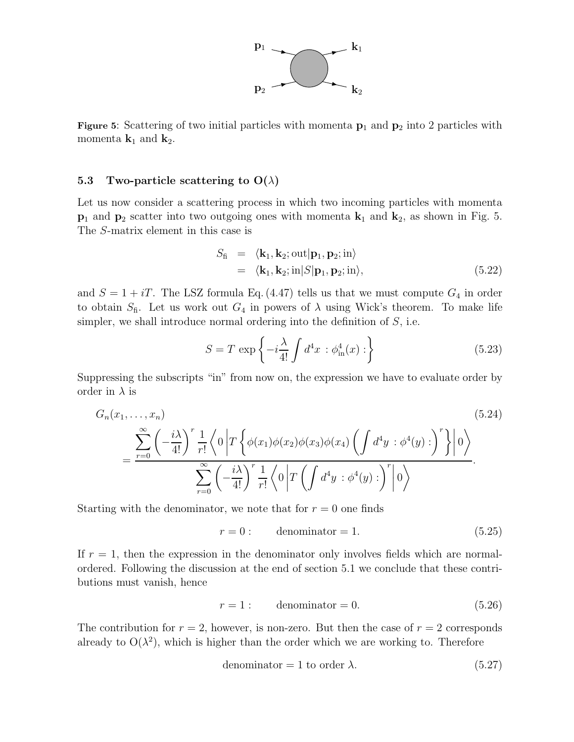

**Figure 5**: Scattering of two initial particles with momenta **<sup>p</sup>**<sup>1</sup> and **<sup>p</sup>**<sup>2</sup> into 2 particles with momenta  $\mathbf{k}_1$  and  $\mathbf{k}_2$ .

## **5.3** Two-particle scattering to  $O(\lambda)$

Let us now consider a scattering process in which two incoming particles with momenta  $\mathbf{p}_1$  and  $\mathbf{p}_2$  scatter into two outgoing ones with momenta  $\mathbf{k}_1$  and  $\mathbf{k}_2$ , as shown in Fig. 5. The S-matrix element in this case is

$$
S_{\text{fi}} = \langle \mathbf{k}_1, \mathbf{k}_2; \text{out} | \mathbf{p}_1, \mathbf{p}_2; \text{in} \rangle
$$
  
=  $\langle \mathbf{k}_1, \mathbf{k}_2; \text{in} | S | \mathbf{p}_1, \mathbf{p}_2; \text{in} \rangle,$  (5.22)

and  $S = 1 + iT$ . The LSZ formula Eq. (4.47) tells us that we must compute  $G_4$  in order to obtain  $S<sub>f</sub>$ . Let us work out  $G<sub>4</sub>$  in powers of  $\lambda$  using Wick's theorem. To make life simpler, we shall introduce normal ordering into the definition of  $S$ , i.e.

$$
S = T \exp\left\{-i\frac{\lambda}{4!} \int d^4x \,:\phi_{\text{in}}^4(x):\right\} \tag{5.23}
$$

Suppressing the subscripts "in" from now on, the expression we have to evaluate order by order in  $\lambda$  is

$$
G_n(x_1, \ldots, x_n) \qquad (5.24)
$$
\n
$$
= \frac{\sum_{r=0}^{\infty} \left( -\frac{i\lambda}{4!} \right)^r \frac{1}{r!} \left\langle 0 \left| T \left\{ \phi(x_1) \phi(x_2) \phi(x_3) \phi(x_4) \left( \int d^4 y : \phi^4(y) : \right)^r \right\} \right| 0 \right\rangle}{\sum_{r=0}^{\infty} \left( -\frac{i\lambda}{4!} \right)^r \frac{1}{r!} \left\langle 0 \left| T \left( \int d^4 y : \phi^4(y) : \right)^r \right| 0 \right\rangle}.
$$
\n(5.24)

Starting with the denominator, we note that for  $r = 0$  one finds

$$
r = 0: \qquad \text{denominator} = 1. \tag{5.25}
$$

If  $r = 1$ , then the expression in the denominator only involves fields which are normalordered. Following the discussion at the end of section 5.1 we conclude that these contributions must vanish, hence

$$
r = 1: \qquad \text{denominator} = 0. \tag{5.26}
$$

The contribution for  $r = 2$ , however, is non-zero. But then the case of  $r = 2$  corresponds already to  $O(\lambda^2)$ , which is higher than the order which we are working to. Therefore

denominator = 1 to order 
$$
\lambda
$$
. (5.27)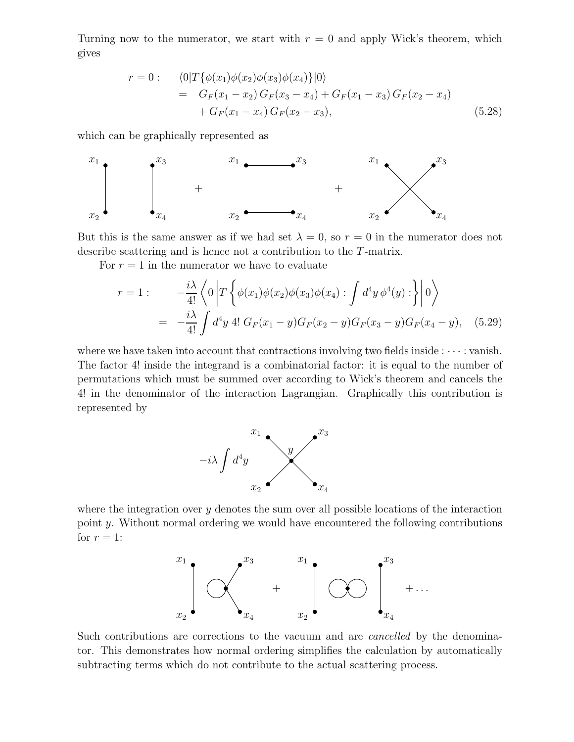Turning now to the numerator, we start with  $r = 0$  and apply Wick's theorem, which gives

$$
r = 0: \langle 0|T\{\phi(x_1)\phi(x_2)\phi(x_3)\phi(x_4)\}|0\rangle
$$
  
=  $G_F(x_1 - x_2) G_F(x_3 - x_4) + G_F(x_1 - x_3) G_F(x_2 - x_4)$   
+  $G_F(x_1 - x_4) G_F(x_2 - x_3),$  (5.28)

which can be graphically represented as



But this is the same answer as if we had set  $\lambda = 0$ , so  $r = 0$  in the numerator does not describe scattering and is hence not a contribution to the T-matrix.

For  $r = 1$  in the numerator we have to evaluate

$$
r = 1: \qquad -\frac{i\lambda}{4!} \left\langle 0 \left| T \left\{ \phi(x_1) \phi(x_2) \phi(x_3) \phi(x_4) : \int d^4 y \, \phi^4(y) : \right\} \right| 0 \right\rangle
$$

$$
= -\frac{i\lambda}{4!} \int d^4 y \, 4! \, G_F(x_1 - y) G_F(x_2 - y) G_F(x_3 - y) G_F(x_4 - y), \quad (5.29)
$$

where we have taken into account that contractions involving two fields inside  $:\cdots:$  vanish. The factor 4! inside the integrand is a combinatorial factor: it is equal to the number of permutations which must be summed over according to Wick's theorem and cancels the 4! in the denominator of the interaction Lagrangian. Graphically this contribution is represented by



where the integration over  $y$  denotes the sum over all possible locations of the interaction point y. Without normal ordering we would have encountered the following contributions for  $r = 1$ :



Such contributions are corrections to the vacuum and are *cancelled* by the denominator. This demonstrates how normal ordering simplifies the calculation by automatically subtracting terms which do not contribute to the actual scattering process.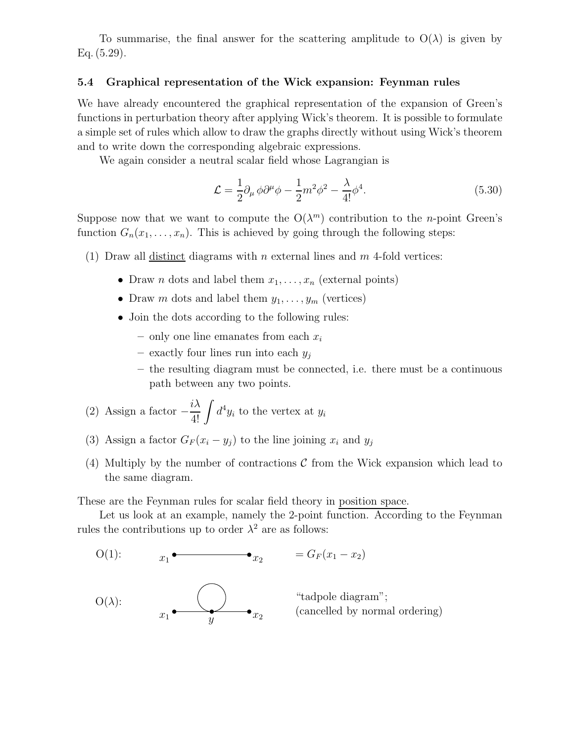To summarise, the final answer for the scattering amplitude to  $O(\lambda)$  is given by Eq. (5.29).

### **5.4 Graphical representation of the Wick expansion: Feynman rules**

We have already encountered the graphical representation of the expansion of Green's functions in perturbation theory after applying Wick's theorem. It is possible to formulate a simple set of rules which allow to draw the graphs directly without using Wick's theorem and to write down the corresponding algebraic expressions.

We again consider a neutral scalar field whose Lagrangian is

$$
\mathcal{L} = \frac{1}{2} \partial_{\mu} \phi \partial^{\mu} \phi - \frac{1}{2} m^2 \phi^2 - \frac{\lambda}{4!} \phi^4.
$$
 (5.30)

Suppose now that we want to compute the  $O(\lambda^m)$  contribution to the *n*-point Green's function  $G_n(x_1,\ldots,x_n)$ . This is achieved by going through the following steps:

- (1) Draw all distinct diagrams with n external lines and  $m$  4-fold vertices:
	- Draw *n* dots and label them  $x_1, \ldots, x_n$  (external points)
	- Draw m dots and label them  $y_1, \ldots, y_m$  (vertices)
	- Join the dots according to the following rules:
		- $-$  only one line emanates from each  $x_i$
		- **–** exactly four lines run into each y<sup>j</sup>
		- **–** the resulting diagram must be connected, i.e. there must be a continuous path between any two points.
- (2) Assign a factor  $-\frac{i\lambda}{4!} \int d^4 y_i$  to the vertex at  $y_i$
- (3) Assign a factor  $G_F(x_i y_j)$  to the line joining  $x_i$  and  $y_j$
- (4) Multiply by the number of contractions  $\mathcal C$  from the Wick expansion which lead to the same diagram.

These are the Feynman rules for scalar field theory in position space.

Let us look at an example, namely the 2-point function. According to the Feynman rules the contributions up to order  $\lambda^2$  are as follows:

O(1): 
$$
x_1 \bullet \bullet x_2 = G_F(x_1 - x_2)
$$
  
\nO(\lambda):  $x_1 \bullet \bullet x_2$  "tadpole diagram";  
\n $x_1 \bullet \bullet x_2$  (cancelled by normal ordering)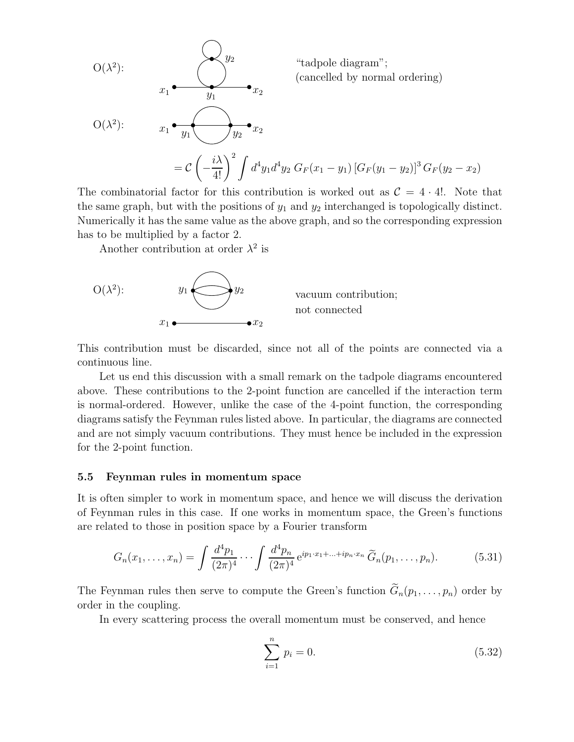

The combinatorial factor for this contribution is worked out as  $C = 4 \cdot 4!$ . Note that the same graph, but with the positions of  $y_1$  and  $y_2$  interchanged is topologically distinct. Numerically it has the same value as the above graph, and so the corresponding expression has to be multiplied by a factor 2.

Another contribution at order  $\lambda^2$  is



This contribution must be discarded, since not all of the points are connected via a continuous line.

Let us end this discussion with a small remark on the tadpole diagrams encountered above. These contributions to the 2-point function are cancelled if the interaction term is normal-ordered. However, unlike the case of the 4-point function, the corresponding diagrams satisfy the Feynman rules listed above. In particular, the diagrams are connected and are not simply vacuum contributions. They must hence be included in the expression for the 2-point function.

#### **5.5 Feynman rules in momentum space**

It is often simpler to work in momentum space, and hence we will discuss the derivation of Feynman rules in this case. If one works in momentum space, the Green's functions are related to those in position space by a Fourier transform

$$
G_n(x_1,\ldots,x_n) = \int \frac{d^4p_1}{(2\pi)^4} \cdots \int \frac{d^4p_n}{(2\pi)^4} e^{ip_1 \cdot x_1 + \ldots + ip_n \cdot x_n} \widetilde{G}_n(p_1,\ldots,p_n). \tag{5.31}
$$

The Feynman rules then serve to compute the Green's function  $\tilde{G}_n(p_1,\ldots,p_n)$  order by order in the coupling.

In every scattering process the overall momentum must be conserved, and hence

$$
\sum_{i=1}^{n} p_i = 0.
$$
\n(5.32)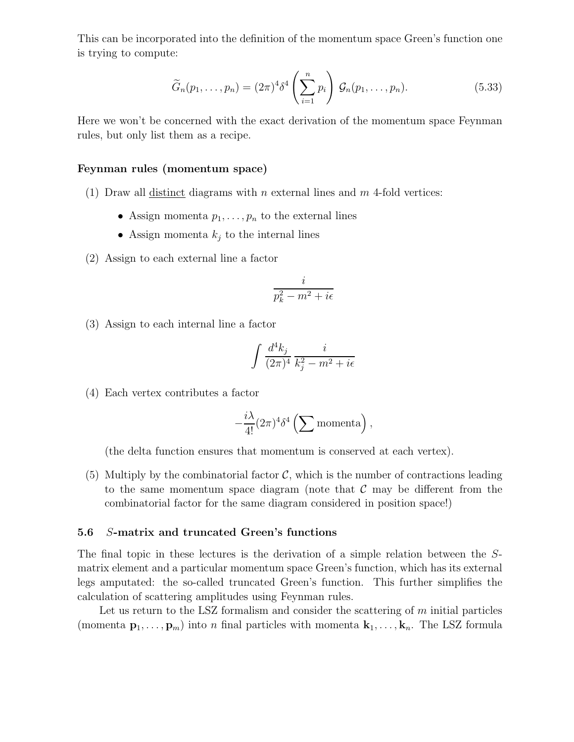This can be incorporated into the definition of the momentum space Green's function one is trying to compute:

$$
\widetilde{G}_n(p_1,\ldots,p_n) = (2\pi)^4 \delta^4 \left(\sum_{i=1}^n p_i\right) \mathcal{G}_n(p_1,\ldots,p_n). \tag{5.33}
$$

Here we won't be concerned with the exact derivation of the momentum space Feynman rules, but only list them as a recipe.

#### **Feynman rules (momentum space)**

- (1) Draw all distinct diagrams with n external lines and  $m$  4-fold vertices:
	- Assign momenta  $p_1, \ldots, p_n$  to the external lines
	- Assign momenta  $k_j$  to the internal lines
- (2) Assign to each external line a factor

$$
\frac{i}{p_k^2-m^2+i\epsilon}
$$

(3) Assign to each internal line a factor

$$
\int \frac{d^4k_j}{(2\pi)^4} \, \frac{i}{k_j^2 - m^2 + i\epsilon}
$$

(4) Each vertex contributes a factor

$$
-\frac{i\lambda}{4!}(2\pi)^4\delta^4\left(\sum \text{momenta}\right),\,
$$

(the delta function ensures that momentum is conserved at each vertex).

(5) Multiply by the combinatorial factor  $\mathcal{C}$ , which is the number of contractions leading to the same momentum space diagram (note that  $\mathcal C$  may be different from the combinatorial factor for the same diagram considered in position space!)

### **5.6** S**-matrix and truncated Green's functions**

The final topic in these lectures is the derivation of a simple relation between the Smatrix element and a particular momentum space Green's function, which has its external legs amputated: the so-called truncated Green's function. This further simplifies the calculation of scattering amplitudes using Feynman rules.

Let us return to the LSZ formalism and consider the scattering of  $m$  initial particles (momenta  $\mathbf{p}_1,\ldots,\mathbf{p}_m$ ) into n final particles with momenta  $\mathbf{k}_1,\ldots,\mathbf{k}_n$ . The LSZ formula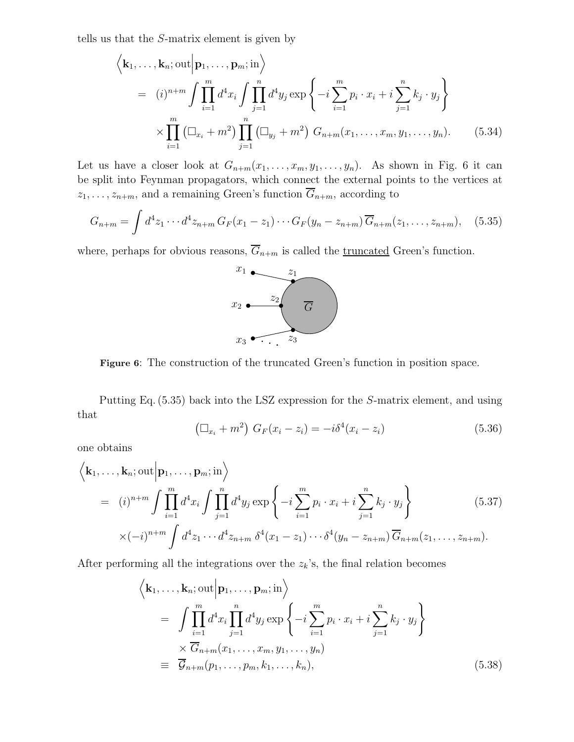tells us that the S-matrix element is given by

 $\overline{1}$ 

$$
\left\langle \mathbf{k}_1, \dots, \mathbf{k}_n; \text{out} \middle| \mathbf{p}_1, \dots, \mathbf{p}_m; \text{in} \right\rangle
$$
  
=  $(i)^{n+m} \int \prod_{i=1}^m d^4 x_i \int \prod_{j=1}^n d^4 y_j \exp \left\{ -i \sum_{i=1}^m p_i \cdot x_i + i \sum_{j=1}^n k_j \cdot y_j \right\}$   

$$
\times \prod_{i=1}^m \left( \square_{x_i} + m^2 \right) \prod_{j=1}^n \left( \square_{y_j} + m^2 \right) G_{n+m}(x_1, \dots, x_m, y_1, \dots, y_n). \tag{5.34}
$$

Let us have a closer look at  $G_{n+m}(x_1,\ldots,x_m,y_1,\ldots,y_n)$ . As shown in Fig. 6 it can be split into Feynman propagators, which connect the external points to the vertices at  $z_1,\ldots,z_{n+m}$ , and a remaining Green's function  $\overline{G}_{n+m}$ , according to

$$
G_{n+m} = \int d^4 z_1 \cdots d^4 z_{n+m} G_F(x_1 - z_1) \cdots G_F(y_n - z_{n+m}) \overline{G}_{n+m}(z_1, \ldots, z_{n+m}), \quad (5.35)
$$

where, perhaps for obvious reasons,  $\overline{G}_{n+m}$  is called the <u>truncated</u> Green's function.



**Figure 6**: The construction of the truncated Green's function in position space.

Putting Eq. (5.35) back into the LSZ expression for the S-matrix element, and using that

$$
(\Box_{x_i} + m^2) \ G_F(x_i - z_i) = -i\delta^4(x_i - z_i)
$$
\n(5.36)

one obtains

$$
\left\langle \mathbf{k}_1, \dots, \mathbf{k}_n; \text{out} \middle| \mathbf{p}_1, \dots, \mathbf{p}_m; \text{in} \right\rangle
$$
\n
$$
= (i)^{n+m} \int \prod_{i=1}^m d^4 x_i \int \prod_{j=1}^n d^4 y_j \exp \left\{ -i \sum_{i=1}^m p_i \cdot x_i + i \sum_{j=1}^n k_j \cdot y_j \right\}
$$
\n
$$
\times (-i)^{n+m} \int d^4 z_1 \cdots d^4 z_{n+m} \delta^4 (x_1 - z_1) \cdots \delta^4 (y_n - z_{n+m}) \overline{G}_{n+m} (z_1, \dots, z_{n+m}).
$$
\n(5.37)

After performing all the integrations over the  $z_k$ 's, the final relation becomes

$$
\left\langle \mathbf{k}_1, \dots, \mathbf{k}_n; \text{out} \middle| \mathbf{p}_1, \dots, \mathbf{p}_m; \text{in} \right\rangle
$$
\n
$$
= \int \prod_{i=1}^m d^4 x_i \prod_{j=1}^n d^4 y_j \exp \left\{ -i \sum_{i=1}^m p_i \cdot x_i + i \sum_{j=1}^n k_j \cdot y_j \right\}
$$
\n
$$
\times \overline{G}_{n+m}(x_1, \dots, x_m, y_1, \dots, y_n)
$$
\n
$$
\equiv \overline{G}_{n+m}(p_1, \dots, p_m, k_1, \dots, k_n), \tag{5.38}
$$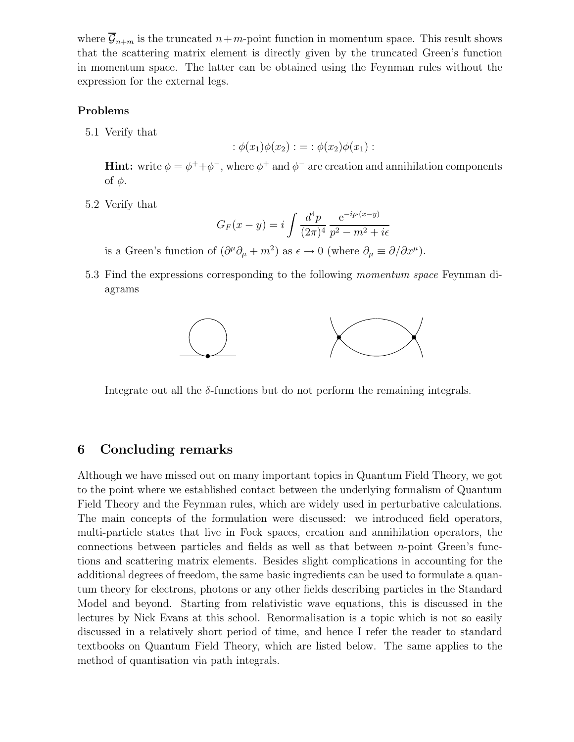where  $\overline{\mathcal{G}}_{n+m}$  is the truncated  $n+m$ -point function in momentum space. This result shows that the scattering matrix element is directly given by the truncated Green's function in momentum space. The latter can be obtained using the Feynman rules without the expression for the external legs.

### **Problems**

5.1 Verify that

$$
:\phi(x_1)\phi(x_2):=:\phi(x_2)\phi(x_1):
$$

**Hint:** write  $\phi = \phi^+ + \phi^-$ , where  $\phi^+$  and  $\phi^-$  are creation and annihilation components of  $φ$ .

5.2 Verify that

$$
G_F(x - y) = i \int \frac{d^4 p}{(2\pi)^4} \frac{e^{-ip \cdot (x - y)}}{p^2 - m^2 + i\epsilon}
$$

is a Green's function of  $(\partial^{\mu}\partial_{\mu} + m^2)$  as  $\epsilon \to 0$  (where  $\partial_{\mu} \equiv \partial/\partial x^{\mu}$ ).

5.3 Find the expressions corresponding to the following *momentum space* Feynman diagrams



Integrate out all the  $\delta$ -functions but do not perform the remaining integrals.

## **6 Concluding remarks**

Although we have missed out on many important topics in Quantum Field Theory, we got to the point where we established contact between the underlying formalism of Quantum Field Theory and the Feynman rules, which are widely used in perturbative calculations. The main concepts of the formulation were discussed: we introduced field operators, multi-particle states that live in Fock spaces, creation and annihilation operators, the connections between particles and fields as well as that between  $n$ -point Green's functions and scattering matrix elements. Besides slight complications in accounting for the additional degrees of freedom, the same basic ingredients can be used to formulate a quantum theory for electrons, photons or any other fields describing particles in the Standard Model and beyond. Starting from relativistic wave equations, this is discussed in the lectures by Nick Evans at this school. Renormalisation is a topic which is not so easily discussed in a relatively short period of time, and hence I refer the reader to standard textbooks on Quantum Field Theory, which are listed below. The same applies to the method of quantisation via path integrals.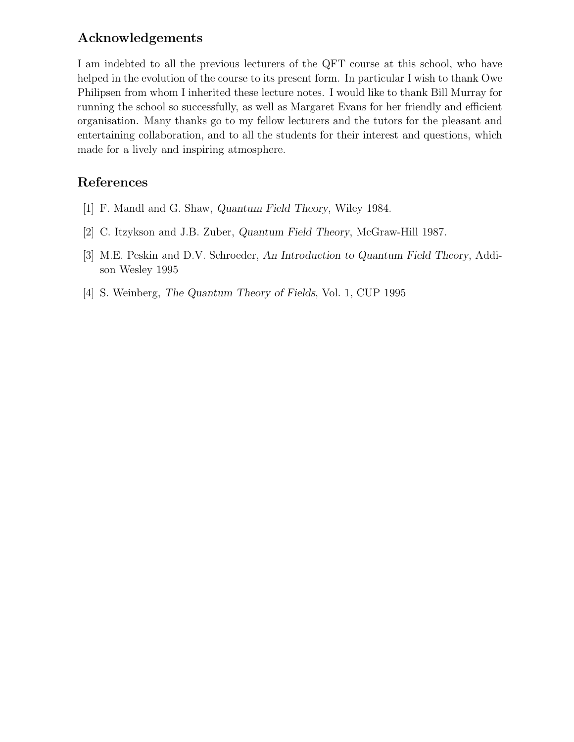## **Acknowledgements**

I am indebted to all the previous lecturers of the QFT course at this school, who have helped in the evolution of the course to its present form. In particular I wish to thank Owe Philipsen from whom I inherited these lecture notes. I would like to thank Bill Murray for running the school so successfully, as well as Margaret Evans for her friendly and efficient organisation. Many thanks go to my fellow lecturers and the tutors for the pleasant and entertaining collaboration, and to all the students for their interest and questions, which made for a lively and inspiring atmosphere.

## **References**

- [1] F. Mandl and G. Shaw, *Quantum Field Theory*, Wiley 1984.
- [2] C. Itzykson and J.B. Zuber, *Quantum Field Theory*, McGraw-Hill 1987.
- [3] M.E. Peskin and D.V. Schroeder, *An Introduction to Quantum Field Theory*, Addison Wesley 1995
- [4] S. Weinberg, *The Quantum Theory of Fields*, Vol. 1, CUP 1995